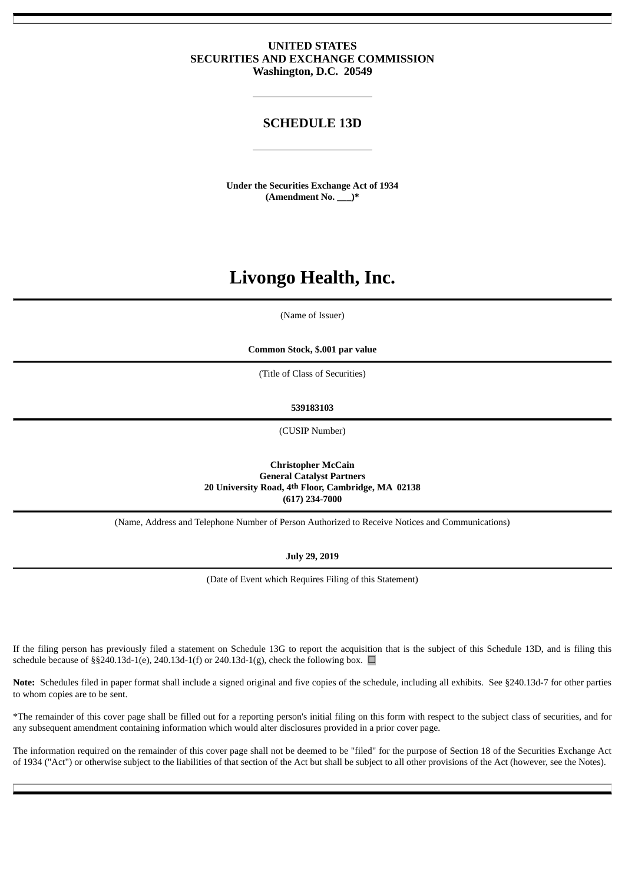# **UNITED STATES SECURITIES AND EXCHANGE COMMISSION Washington, D.C. 20549**

# **SCHEDULE 13D**

**Under the Securities Exchange Act of 1934 (Amendment No. \_\_\_)\***

# **Livongo Health, Inc.**

(Name of Issuer)

**Common Stock, \$.001 par value**

(Title of Class of Securities)

**539183103**

(CUSIP Number)

**Christopher McCain General Catalyst Partners 20 University Road, 4th Floor, Cambridge, MA 02138 (617) 234-7000**

(Name, Address and Telephone Number of Person Authorized to Receive Notices and Communications)

**July 29, 2019**

(Date of Event which Requires Filing of this Statement)

If the filing person has previously filed a statement on Schedule 13G to report the acquisition that is the subject of this Schedule 13D, and is filing this schedule because of §§240.13d-1(e), 240.13d-1(f) or 240.13d-1(g), check the following box.  $\Box$ 

**Note:** Schedules filed in paper format shall include a signed original and five copies of the schedule, including all exhibits. See §240.13d-7 for other parties to whom copies are to be sent.

\*The remainder of this cover page shall be filled out for a reporting person's initial filing on this form with respect to the subject class of securities, and for any subsequent amendment containing information which would alter disclosures provided in a prior cover page.

The information required on the remainder of this cover page shall not be deemed to be "filed" for the purpose of Section 18 of the Securities Exchange Act of 1934 ("Act") or otherwise subject to the liabilities of that section of the Act but shall be subject to all other provisions of the Act (however, see the Notes).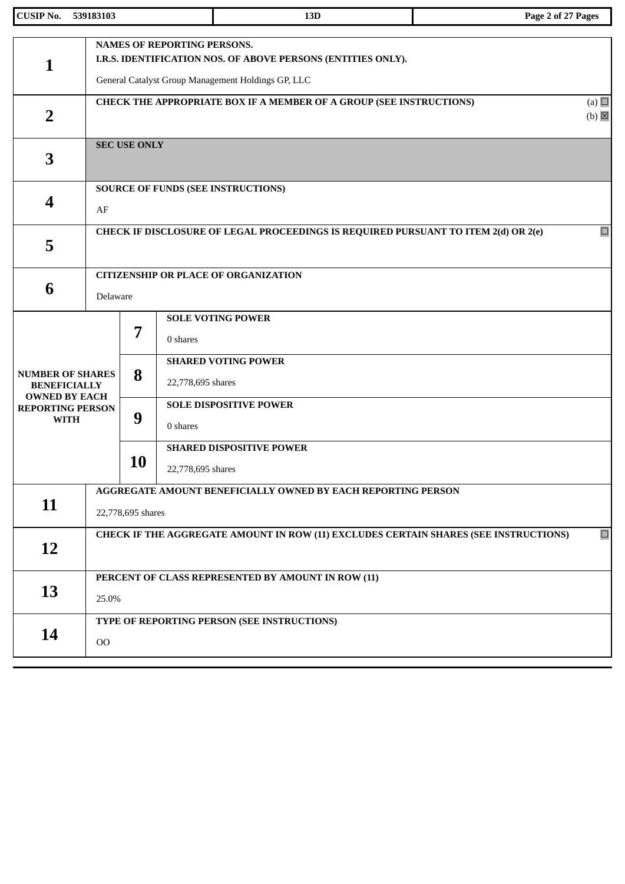| <b>CUSIP No.</b>                                                       | 539183103 |                                                                                                | 13D                                                                                                                                                      | Page 2 of 27 Pages              |  |  |
|------------------------------------------------------------------------|-----------|------------------------------------------------------------------------------------------------|----------------------------------------------------------------------------------------------------------------------------------------------------------|---------------------------------|--|--|
| 1                                                                      |           |                                                                                                | <b>NAMES OF REPORTING PERSONS.</b><br>I.R.S. IDENTIFICATION NOS. OF ABOVE PERSONS (ENTITIES ONLY).<br>General Catalyst Group Management Holdings GP, LLC |                                 |  |  |
| $\overline{2}$                                                         |           |                                                                                                | <b>CHECK THE APPROPRIATE BOX IF A MEMBER OF A GROUP (SEE INSTRUCTIONS)</b>                                                                               | (a) $\Box$<br>$(b)$ $\boxtimes$ |  |  |
| 3                                                                      |           | <b>SEC USE ONLY</b>                                                                            |                                                                                                                                                          |                                 |  |  |
| 4                                                                      | AF        |                                                                                                | <b>SOURCE OF FUNDS (SEE INSTRUCTIONS)</b>                                                                                                                |                                 |  |  |
| 5                                                                      |           |                                                                                                | CHECK IF DISCLOSURE OF LEGAL PROCEEDINGS IS REQUIRED PURSUANT TO ITEM 2(d) OR 2(e)                                                                       | $\Box$                          |  |  |
| 6                                                                      | Delaware  |                                                                                                | <b>CITIZENSHIP OR PLACE OF ORGANIZATION</b>                                                                                                              |                                 |  |  |
|                                                                        |           | 7                                                                                              | <b>SOLE VOTING POWER</b><br>0 shares                                                                                                                     |                                 |  |  |
| <b>NUMBER OF SHARES</b><br><b>BENEFICIALLY</b><br><b>OWNED BY EACH</b> |           | 8                                                                                              | <b>SHARED VOTING POWER</b><br>22,778,695 shares                                                                                                          |                                 |  |  |
| <b>REPORTING PERSON</b><br><b>WITH</b>                                 |           | 9                                                                                              | <b>SOLE DISPOSITIVE POWER</b><br>0 shares                                                                                                                |                                 |  |  |
|                                                                        |           | 10                                                                                             | <b>SHARED DISPOSITIVE POWER</b><br>22,778,695 shares                                                                                                     |                                 |  |  |
| 11                                                                     |           | AGGREGATE AMOUNT BENEFICIALLY OWNED BY EACH REPORTING PERSON<br>22,778,695 shares              |                                                                                                                                                          |                                 |  |  |
| 12                                                                     |           | $\Box$<br>CHECK IF THE AGGREGATE AMOUNT IN ROW (11) EXCLUDES CERTAIN SHARES (SEE INSTRUCTIONS) |                                                                                                                                                          |                                 |  |  |
| 13                                                                     |           | PERCENT OF CLASS REPRESENTED BY AMOUNT IN ROW (11)<br>25.0%                                    |                                                                                                                                                          |                                 |  |  |
| 14                                                                     | $00\,$    |                                                                                                | TYPE OF REPORTING PERSON (SEE INSTRUCTIONS)                                                                                                              |                                 |  |  |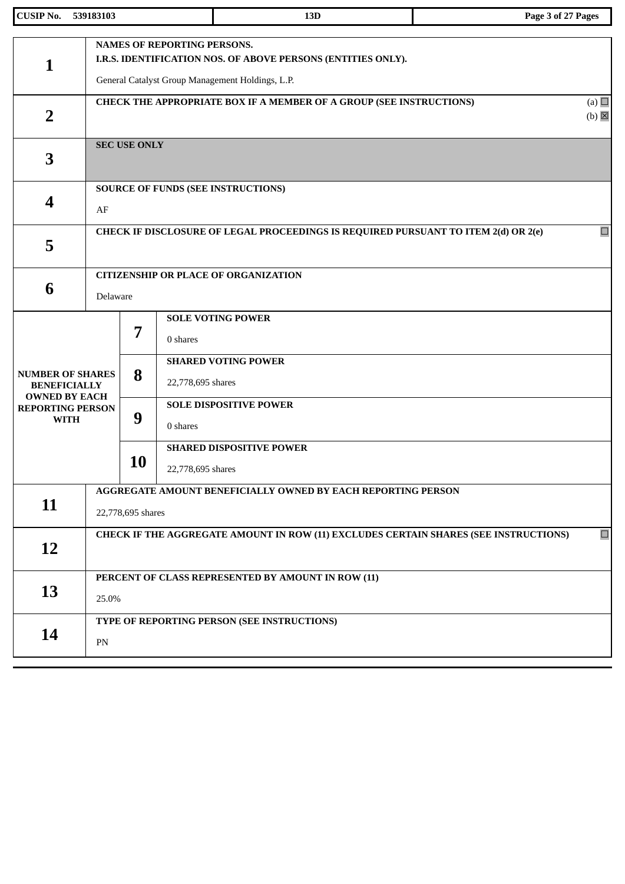| <b>CUSIP No.</b>                                               | 539183103 |                                                                                                                                                        |                   | 13D                                                                                | Page 3 of 27 Pages              |  |  |
|----------------------------------------------------------------|-----------|--------------------------------------------------------------------------------------------------------------------------------------------------------|-------------------|------------------------------------------------------------------------------------|---------------------------------|--|--|
| 1                                                              |           | <b>NAMES OF REPORTING PERSONS.</b><br>I.R.S. IDENTIFICATION NOS. OF ABOVE PERSONS (ENTITIES ONLY).<br>General Catalyst Group Management Holdings, L.P. |                   |                                                                                    |                                 |  |  |
| $\overline{2}$                                                 |           |                                                                                                                                                        |                   | CHECK THE APPROPRIATE BOX IF A MEMBER OF A GROUP (SEE INSTRUCTIONS)                | (a) $\Box$<br>$(b)$ $\boxtimes$ |  |  |
| 3                                                              |           | <b>SEC USE ONLY</b>                                                                                                                                    |                   |                                                                                    |                                 |  |  |
| 4                                                              | AF        |                                                                                                                                                        |                   | <b>SOURCE OF FUNDS (SEE INSTRUCTIONS)</b>                                          |                                 |  |  |
| 5                                                              |           |                                                                                                                                                        |                   | CHECK IF DISCLOSURE OF LEGAL PROCEEDINGS IS REQUIRED PURSUANT TO ITEM 2(d) OR 2(e) | $\Box$                          |  |  |
| 6                                                              | Delaware  |                                                                                                                                                        |                   | <b>CITIZENSHIP OR PLACE OF ORGANIZATION</b>                                        |                                 |  |  |
| <b>NUMBER OF SHARES</b><br><b>BENEFICIALLY</b>                 |           | <b>SOLE VOTING POWER</b><br>7<br>0 shares<br><b>SHARED VOTING POWER</b><br>8<br>22,778,695 shares                                                      |                   |                                                                                    |                                 |  |  |
| <b>OWNED BY EACH</b><br><b>REPORTING PERSON</b><br><b>WITH</b> |           | 9                                                                                                                                                      | 0 shares          | <b>SOLE DISPOSITIVE POWER</b>                                                      |                                 |  |  |
|                                                                |           | <b>10</b>                                                                                                                                              | 22,778,695 shares | <b>SHARED DISPOSITIVE POWER</b>                                                    |                                 |  |  |
| 11                                                             |           | AGGREGATE AMOUNT BENEFICIALLY OWNED BY EACH REPORTING PERSON<br>22,778,695 shares                                                                      |                   |                                                                                    |                                 |  |  |
| 12                                                             |           | $\Box$<br>CHECK IF THE AGGREGATE AMOUNT IN ROW (11) EXCLUDES CERTAIN SHARES (SEE INSTRUCTIONS)                                                         |                   |                                                                                    |                                 |  |  |
| 13                                                             |           | PERCENT OF CLASS REPRESENTED BY AMOUNT IN ROW (11)<br>25.0%                                                                                            |                   |                                                                                    |                                 |  |  |
| 14                                                             | PN        |                                                                                                                                                        |                   | TYPE OF REPORTING PERSON (SEE INSTRUCTIONS)                                        |                                 |  |  |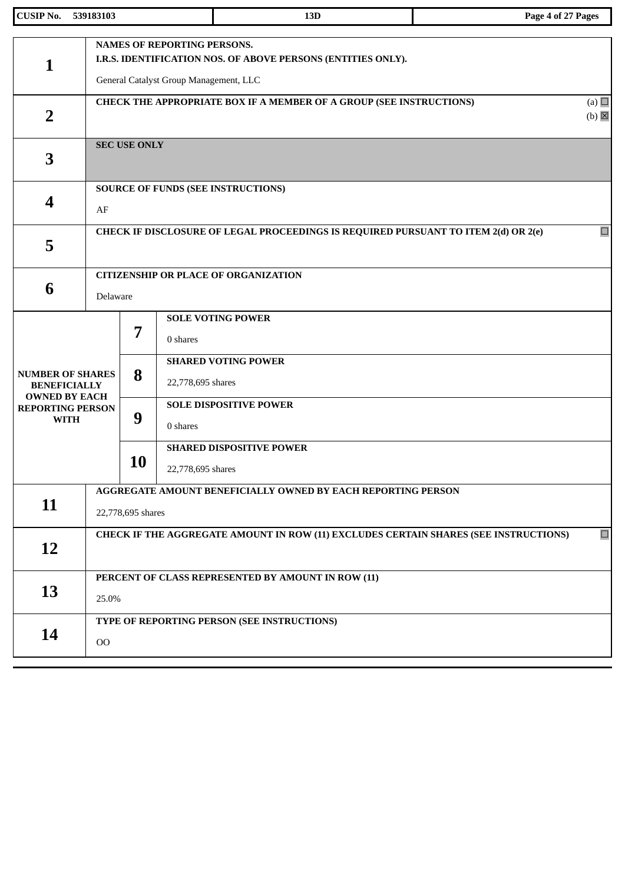| <b>CUSIP No.</b>                                                       | 539183103 |                                                                                                | 13D                                                                                                                                          | Page 4 of 27 Pages              |  |  |
|------------------------------------------------------------------------|-----------|------------------------------------------------------------------------------------------------|----------------------------------------------------------------------------------------------------------------------------------------------|---------------------------------|--|--|
| 1                                                                      |           |                                                                                                | <b>NAMES OF REPORTING PERSONS.</b><br>I.R.S. IDENTIFICATION NOS. OF ABOVE PERSONS (ENTITIES ONLY).<br>General Catalyst Group Management, LLC |                                 |  |  |
| $\overline{2}$                                                         |           |                                                                                                | CHECK THE APPROPRIATE BOX IF A MEMBER OF A GROUP (SEE INSTRUCTIONS)                                                                          | (a) $\Box$<br>$(b)$ $\boxtimes$ |  |  |
| 3                                                                      |           | <b>SEC USE ONLY</b>                                                                            |                                                                                                                                              |                                 |  |  |
| 4                                                                      | AF        |                                                                                                | <b>SOURCE OF FUNDS (SEE INSTRUCTIONS)</b>                                                                                                    |                                 |  |  |
| 5                                                                      |           |                                                                                                | CHECK IF DISCLOSURE OF LEGAL PROCEEDINGS IS REQUIRED PURSUANT TO ITEM 2(d) OR 2(e)                                                           | $\Box$                          |  |  |
| 6                                                                      | Delaware  |                                                                                                | <b>CITIZENSHIP OR PLACE OF ORGANIZATION</b>                                                                                                  |                                 |  |  |
|                                                                        |           | 7                                                                                              | <b>SOLE VOTING POWER</b><br>0 shares                                                                                                         |                                 |  |  |
| <b>NUMBER OF SHARES</b><br><b>BENEFICIALLY</b><br><b>OWNED BY EACH</b> |           | 8                                                                                              | <b>SHARED VOTING POWER</b><br>22,778,695 shares                                                                                              |                                 |  |  |
| <b>REPORTING PERSON</b><br><b>WITH</b>                                 |           | 9                                                                                              | <b>SOLE DISPOSITIVE POWER</b><br>0 shares                                                                                                    |                                 |  |  |
|                                                                        |           | 10                                                                                             | <b>SHARED DISPOSITIVE POWER</b><br>22,778,695 shares                                                                                         |                                 |  |  |
| 11                                                                     |           | AGGREGATE AMOUNT BENEFICIALLY OWNED BY EACH REPORTING PERSON<br>22,778,695 shares              |                                                                                                                                              |                                 |  |  |
| 12                                                                     |           | $\Box$<br>CHECK IF THE AGGREGATE AMOUNT IN ROW (11) EXCLUDES CERTAIN SHARES (SEE INSTRUCTIONS) |                                                                                                                                              |                                 |  |  |
| 13                                                                     |           | PERCENT OF CLASS REPRESENTED BY AMOUNT IN ROW (11)<br>25.0%                                    |                                                                                                                                              |                                 |  |  |
| 14                                                                     | $00\,$    |                                                                                                | TYPE OF REPORTING PERSON (SEE INSTRUCTIONS)                                                                                                  |                                 |  |  |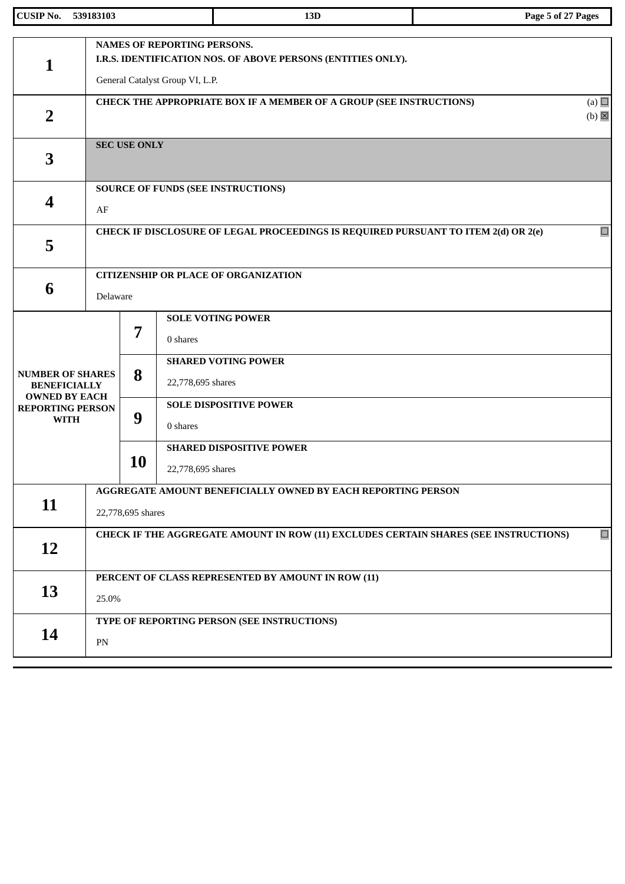| <b>CUSIP No.</b>                                                                      | 539183103  |                                                                                                | 13D                                                                                                                            | Page 5 of 27 Pages              |  |  |
|---------------------------------------------------------------------------------------|------------|------------------------------------------------------------------------------------------------|--------------------------------------------------------------------------------------------------------------------------------|---------------------------------|--|--|
| 1                                                                                     |            |                                                                                                | NAMES OF REPORTING PERSONS.<br>I.R.S. IDENTIFICATION NOS. OF ABOVE PERSONS (ENTITIES ONLY).<br>General Catalyst Group VI, L.P. |                                 |  |  |
| $\overline{2}$                                                                        |            |                                                                                                | <b>CHECK THE APPROPRIATE BOX IF A MEMBER OF A GROUP (SEE INSTRUCTIONS)</b>                                                     | (a) $\Box$<br>$(b)$ $\boxtimes$ |  |  |
| 3                                                                                     |            | <b>SEC USE ONLY</b>                                                                            |                                                                                                                                |                                 |  |  |
| 4                                                                                     | AF         |                                                                                                | <b>SOURCE OF FUNDS (SEE INSTRUCTIONS)</b>                                                                                      |                                 |  |  |
| 5                                                                                     |            |                                                                                                | CHECK IF DISCLOSURE OF LEGAL PROCEEDINGS IS REQUIRED PURSUANT TO ITEM 2(d) OR 2(e)                                             | $\Box$                          |  |  |
| 6                                                                                     | Delaware   |                                                                                                | <b>CITIZENSHIP OR PLACE OF ORGANIZATION</b>                                                                                    |                                 |  |  |
| <b>NUMBER OF SHARES</b>                                                               |            | 7<br>8                                                                                         | <b>SOLE VOTING POWER</b><br>0 shares<br><b>SHARED VOTING POWER</b>                                                             |                                 |  |  |
| <b>BENEFICIALLY</b><br><b>OWNED BY EACH</b><br><b>REPORTING PERSON</b><br><b>WITH</b> |            | 9                                                                                              | 22,778,695 shares<br><b>SOLE DISPOSITIVE POWER</b><br>0 shares                                                                 |                                 |  |  |
|                                                                                       |            | 10                                                                                             | <b>SHARED DISPOSITIVE POWER</b><br>22,778,695 shares                                                                           |                                 |  |  |
| 11                                                                                    |            | AGGREGATE AMOUNT BENEFICIALLY OWNED BY EACH REPORTING PERSON<br>22,778,695 shares              |                                                                                                                                |                                 |  |  |
| 12                                                                                    |            | $\Box$<br>CHECK IF THE AGGREGATE AMOUNT IN ROW (11) EXCLUDES CERTAIN SHARES (SEE INSTRUCTIONS) |                                                                                                                                |                                 |  |  |
| 13                                                                                    |            | PERCENT OF CLASS REPRESENTED BY AMOUNT IN ROW (11)<br>25.0%                                    |                                                                                                                                |                                 |  |  |
| 14                                                                                    | ${\rm PN}$ |                                                                                                | TYPE OF REPORTING PERSON (SEE INSTRUCTIONS)                                                                                    |                                 |  |  |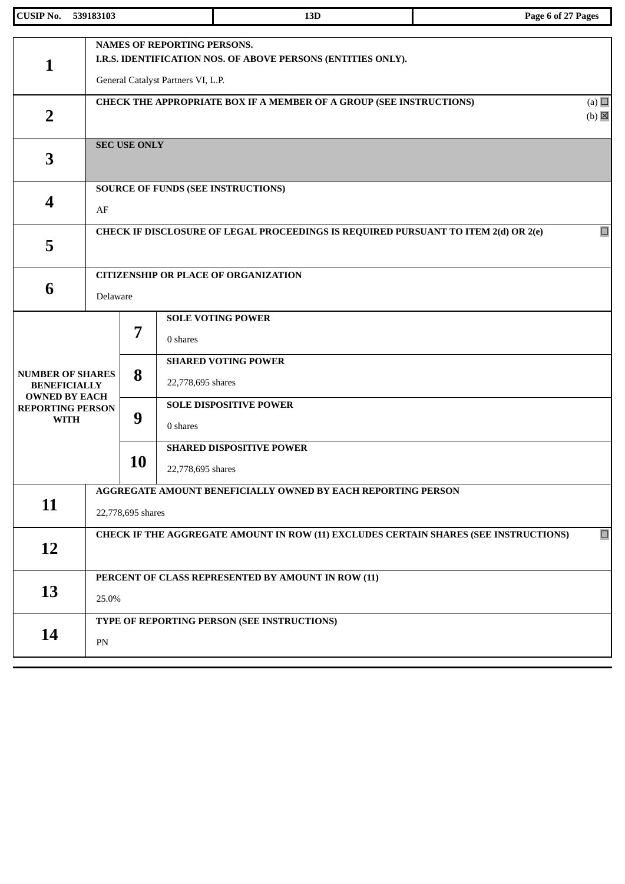| <b>CUSIP No.</b>                                                                      | 539183103 |                                                                                                                                          | 13D                                                                                | Page 6 of 27 Pages              |  |  |  |
|---------------------------------------------------------------------------------------|-----------|------------------------------------------------------------------------------------------------------------------------------------------|------------------------------------------------------------------------------------|---------------------------------|--|--|--|
| 1                                                                                     |           | <b>NAMES OF REPORTING PERSONS.</b><br>I.R.S. IDENTIFICATION NOS. OF ABOVE PERSONS (ENTITIES ONLY).<br>General Catalyst Partners VI, L.P. |                                                                                    |                                 |  |  |  |
| $\overline{2}$                                                                        |           |                                                                                                                                          | CHECK THE APPROPRIATE BOX IF A MEMBER OF A GROUP (SEE INSTRUCTIONS)                | (a) $\Box$<br>$(b)$ $\boxtimes$ |  |  |  |
| 3                                                                                     |           | <b>SEC USE ONLY</b>                                                                                                                      |                                                                                    |                                 |  |  |  |
| 4                                                                                     | AF        |                                                                                                                                          | <b>SOURCE OF FUNDS (SEE INSTRUCTIONS)</b>                                          |                                 |  |  |  |
| 5                                                                                     |           |                                                                                                                                          | CHECK IF DISCLOSURE OF LEGAL PROCEEDINGS IS REQUIRED PURSUANT TO ITEM 2(d) OR 2(e) | $\Box$                          |  |  |  |
| 6                                                                                     | Delaware  |                                                                                                                                          | <b>CITIZENSHIP OR PLACE OF ORGANIZATION</b>                                        |                                 |  |  |  |
| <b>NUMBER OF SHARES</b>                                                               |           | <b>SOLE VOTING POWER</b><br>7<br>0 shares<br><b>SHARED VOTING POWER</b><br>8                                                             |                                                                                    |                                 |  |  |  |
| <b>BENEFICIALLY</b><br><b>OWNED BY EACH</b><br><b>REPORTING PERSON</b><br><b>WITH</b> |           | 9                                                                                                                                        | 22,778,695 shares<br><b>SOLE DISPOSITIVE POWER</b><br>0 shares                     |                                 |  |  |  |
|                                                                                       |           | 10                                                                                                                                       | <b>SHARED DISPOSITIVE POWER</b><br>22,778,695 shares                               |                                 |  |  |  |
| 11                                                                                    |           | AGGREGATE AMOUNT BENEFICIALLY OWNED BY EACH REPORTING PERSON<br>22,778,695 shares                                                        |                                                                                    |                                 |  |  |  |
| 12                                                                                    |           | $\Box$<br>CHECK IF THE AGGREGATE AMOUNT IN ROW (11) EXCLUDES CERTAIN SHARES (SEE INSTRUCTIONS)                                           |                                                                                    |                                 |  |  |  |
| 13                                                                                    |           | PERCENT OF CLASS REPRESENTED BY AMOUNT IN ROW (11)<br>25.0%                                                                              |                                                                                    |                                 |  |  |  |
| 14                                                                                    | PN        |                                                                                                                                          | TYPE OF REPORTING PERSON (SEE INSTRUCTIONS)                                        |                                 |  |  |  |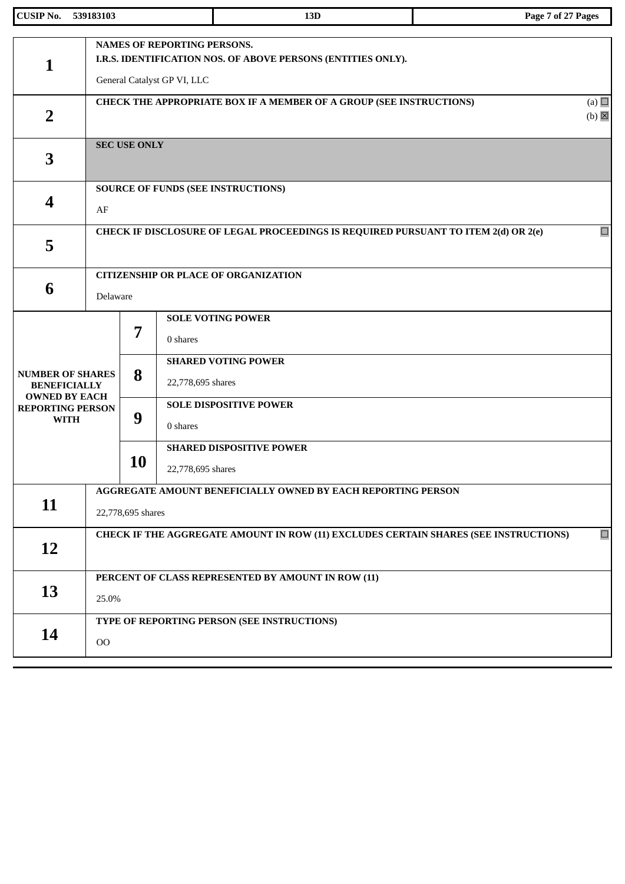| <b>CUSIP No.</b>                                                       | 539183103                                                                                      |                                                                                                                                   | 13D                                                                                | Page 7 of 27 Pages              |  |  |  |
|------------------------------------------------------------------------|------------------------------------------------------------------------------------------------|-----------------------------------------------------------------------------------------------------------------------------------|------------------------------------------------------------------------------------|---------------------------------|--|--|--|
| $\mathbf{1}$                                                           |                                                                                                | <b>NAMES OF REPORTING PERSONS.</b><br>I.R.S. IDENTIFICATION NOS. OF ABOVE PERSONS (ENTITIES ONLY).<br>General Catalyst GP VI, LLC |                                                                                    |                                 |  |  |  |
| $\overline{2}$                                                         |                                                                                                |                                                                                                                                   | CHECK THE APPROPRIATE BOX IF A MEMBER OF A GROUP (SEE INSTRUCTIONS)                | (a) $\Box$<br>$(b)$ $\boxtimes$ |  |  |  |
| 3                                                                      |                                                                                                | <b>SEC USE ONLY</b>                                                                                                               |                                                                                    |                                 |  |  |  |
| 4                                                                      | AF                                                                                             |                                                                                                                                   | SOURCE OF FUNDS (SEE INSTRUCTIONS)                                                 |                                 |  |  |  |
| 5                                                                      |                                                                                                |                                                                                                                                   | CHECK IF DISCLOSURE OF LEGAL PROCEEDINGS IS REQUIRED PURSUANT TO ITEM 2(d) OR 2(e) | $\Box$                          |  |  |  |
| 6                                                                      |                                                                                                | <b>CITIZENSHIP OR PLACE OF ORGANIZATION</b><br>Delaware                                                                           |                                                                                    |                                 |  |  |  |
|                                                                        |                                                                                                | 7                                                                                                                                 | <b>SOLE VOTING POWER</b><br>0 shares                                               |                                 |  |  |  |
| <b>NUMBER OF SHARES</b><br><b>BENEFICIALLY</b><br><b>OWNED BY EACH</b> |                                                                                                | 8                                                                                                                                 | <b>SHARED VOTING POWER</b><br>22,778,695 shares                                    |                                 |  |  |  |
| <b>REPORTING PERSON</b><br><b>WITH</b>                                 |                                                                                                | 9                                                                                                                                 | <b>SOLE DISPOSITIVE POWER</b><br>0 shares                                          |                                 |  |  |  |
|                                                                        |                                                                                                | <b>10</b>                                                                                                                         | <b>SHARED DISPOSITIVE POWER</b><br>22,778,695 shares                               |                                 |  |  |  |
| 11                                                                     |                                                                                                | AGGREGATE AMOUNT BENEFICIALLY OWNED BY EACH REPORTING PERSON<br>22,778,695 shares                                                 |                                                                                    |                                 |  |  |  |
| <b>12</b>                                                              | $\Box$<br>CHECK IF THE AGGREGATE AMOUNT IN ROW (11) EXCLUDES CERTAIN SHARES (SEE INSTRUCTIONS) |                                                                                                                                   |                                                                                    |                                 |  |  |  |
| 13                                                                     |                                                                                                | PERCENT OF CLASS REPRESENTED BY AMOUNT IN ROW (11)<br>25.0%                                                                       |                                                                                    |                                 |  |  |  |
| 14                                                                     | $00\,$                                                                                         |                                                                                                                                   | TYPE OF REPORTING PERSON (SEE INSTRUCTIONS)                                        |                                 |  |  |  |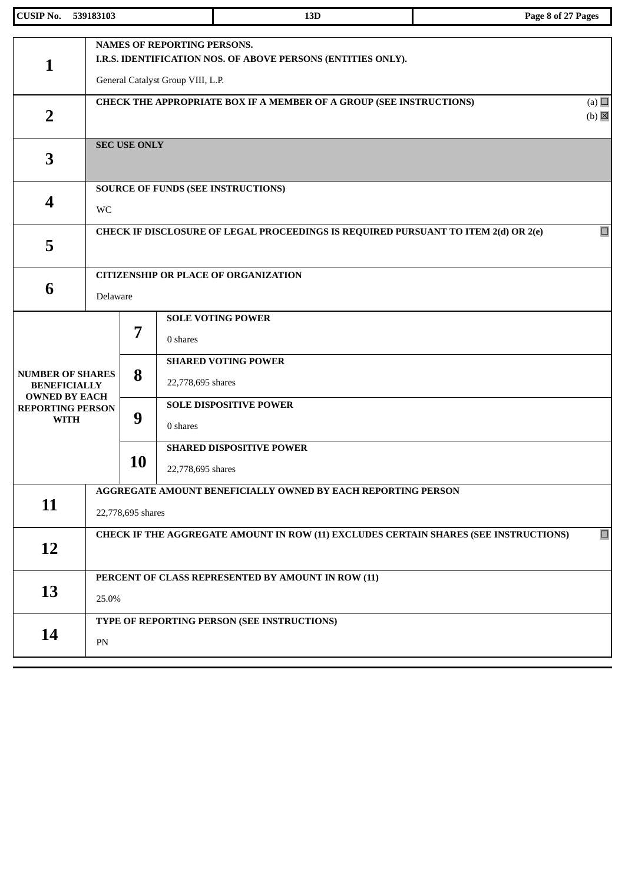| <b>CUSIP No.</b>                                               | 539183103  |                                                                                                        | 13D                                                                                                                                     | Page 8 of 27 Pages |  |  |  |
|----------------------------------------------------------------|------------|--------------------------------------------------------------------------------------------------------|-----------------------------------------------------------------------------------------------------------------------------------------|--------------------|--|--|--|
| 1                                                              |            |                                                                                                        | <b>NAMES OF REPORTING PERSONS.</b><br>I.R.S. IDENTIFICATION NOS. OF ABOVE PERSONS (ENTITIES ONLY).<br>General Catalyst Group VIII, L.P. |                    |  |  |  |
| $\overline{2}$                                                 |            | (a) $\Box$<br>CHECK THE APPROPRIATE BOX IF A MEMBER OF A GROUP (SEE INSTRUCTIONS)<br>$(b)$ $\boxtimes$ |                                                                                                                                         |                    |  |  |  |
| 3                                                              |            | <b>SEC USE ONLY</b>                                                                                    |                                                                                                                                         |                    |  |  |  |
| 4                                                              | WC         |                                                                                                        | <b>SOURCE OF FUNDS (SEE INSTRUCTIONS)</b>                                                                                               |                    |  |  |  |
| 5                                                              |            |                                                                                                        | CHECK IF DISCLOSURE OF LEGAL PROCEEDINGS IS REQUIRED PURSUANT TO ITEM 2(d) OR 2(e)                                                      | $\Box$             |  |  |  |
| 6                                                              | Delaware   |                                                                                                        | <b>CITIZENSHIP OR PLACE OF ORGANIZATION</b>                                                                                             |                    |  |  |  |
| <b>NUMBER OF SHARES</b><br><b>BENEFICIALLY</b>                 |            | <b>SOLE VOTING POWER</b><br>7<br>0 shares<br><b>SHARED VOTING POWER</b><br>8<br>22,778,695 shares      |                                                                                                                                         |                    |  |  |  |
| <b>OWNED BY EACH</b><br><b>REPORTING PERSON</b><br><b>WITH</b> |            | 9                                                                                                      | <b>SOLE DISPOSITIVE POWER</b><br>0 shares                                                                                               |                    |  |  |  |
|                                                                |            | 10                                                                                                     | <b>SHARED DISPOSITIVE POWER</b><br>22,778,695 shares                                                                                    |                    |  |  |  |
| 11                                                             |            | AGGREGATE AMOUNT BENEFICIALLY OWNED BY EACH REPORTING PERSON<br>22,778,695 shares                      |                                                                                                                                         |                    |  |  |  |
| 12                                                             |            | $\Box$<br>CHECK IF THE AGGREGATE AMOUNT IN ROW (11) EXCLUDES CERTAIN SHARES (SEE INSTRUCTIONS)         |                                                                                                                                         |                    |  |  |  |
| 13                                                             |            | PERCENT OF CLASS REPRESENTED BY AMOUNT IN ROW (11)<br>25.0%                                            |                                                                                                                                         |                    |  |  |  |
| 14                                                             | ${\rm PN}$ |                                                                                                        | TYPE OF REPORTING PERSON (SEE INSTRUCTIONS)                                                                                             |                    |  |  |  |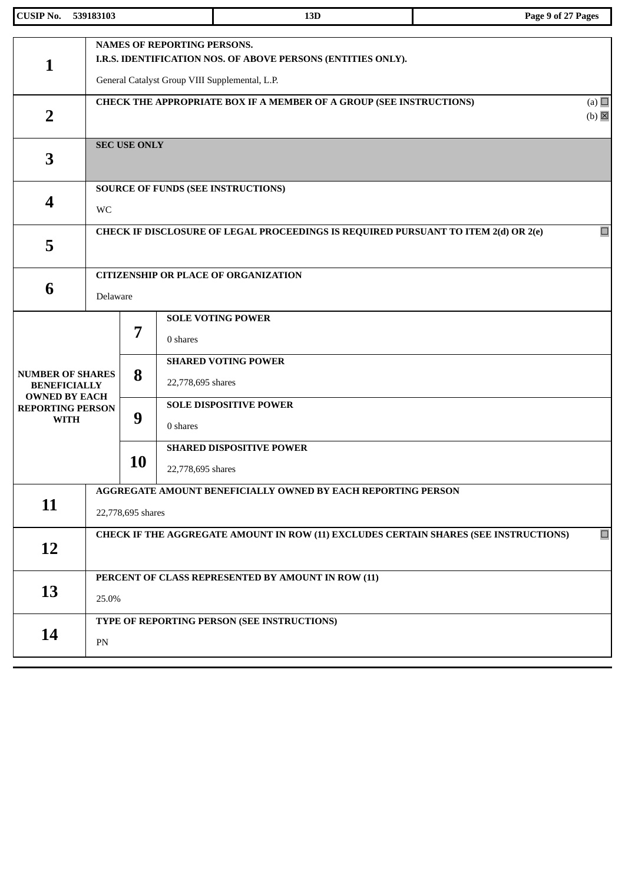| <b>CUSIP No.</b>                                               | 539183103 |                                                                                                                                               |                   | 13D                                                                                | Page 9 of 27 Pages              |  |  |  |
|----------------------------------------------------------------|-----------|-----------------------------------------------------------------------------------------------------------------------------------------------|-------------------|------------------------------------------------------------------------------------|---------------------------------|--|--|--|
| $\mathbf{1}$                                                   |           | NAMES OF REPORTING PERSONS.<br>I.R.S. IDENTIFICATION NOS. OF ABOVE PERSONS (ENTITIES ONLY).<br>General Catalyst Group VIII Supplemental, L.P. |                   |                                                                                    |                                 |  |  |  |
| $\overline{2}$                                                 |           |                                                                                                                                               |                   | CHECK THE APPROPRIATE BOX IF A MEMBER OF A GROUP (SEE INSTRUCTIONS)                | (a) $\Box$<br>$(b)$ $\boxtimes$ |  |  |  |
| 3                                                              |           | <b>SEC USE ONLY</b>                                                                                                                           |                   |                                                                                    |                                 |  |  |  |
| 4                                                              | <b>WC</b> |                                                                                                                                               |                   | <b>SOURCE OF FUNDS (SEE INSTRUCTIONS)</b>                                          |                                 |  |  |  |
| 5                                                              |           |                                                                                                                                               |                   | CHECK IF DISCLOSURE OF LEGAL PROCEEDINGS IS REQUIRED PURSUANT TO ITEM 2(d) OR 2(e) | $\Box$                          |  |  |  |
| 6                                                              | Delaware  |                                                                                                                                               |                   | <b>CITIZENSHIP OR PLACE OF ORGANIZATION</b>                                        |                                 |  |  |  |
| <b>NUMBER OF SHARES</b><br><b>BENEFICIALLY</b>                 |           | <b>SOLE VOTING POWER</b><br>$\overline{7}$<br>0 shares<br><b>SHARED VOTING POWER</b><br>8<br>22,778,695 shares                                |                   |                                                                                    |                                 |  |  |  |
| <b>OWNED BY EACH</b><br><b>REPORTING PERSON</b><br><b>WITH</b> |           | 9                                                                                                                                             | 0 shares          | <b>SOLE DISPOSITIVE POWER</b>                                                      |                                 |  |  |  |
|                                                                |           | 10                                                                                                                                            | 22,778,695 shares | <b>SHARED DISPOSITIVE POWER</b>                                                    |                                 |  |  |  |
| 11                                                             |           | AGGREGATE AMOUNT BENEFICIALLY OWNED BY EACH REPORTING PERSON<br>22,778,695 shares                                                             |                   |                                                                                    |                                 |  |  |  |
| 12                                                             |           | $\Box$<br>CHECK IF THE AGGREGATE AMOUNT IN ROW (11) EXCLUDES CERTAIN SHARES (SEE INSTRUCTIONS)                                                |                   |                                                                                    |                                 |  |  |  |
| 13                                                             |           | PERCENT OF CLASS REPRESENTED BY AMOUNT IN ROW (11)<br>25.0%                                                                                   |                   |                                                                                    |                                 |  |  |  |
| 14                                                             | PN        |                                                                                                                                               |                   | TYPE OF REPORTING PERSON (SEE INSTRUCTIONS)                                        |                                 |  |  |  |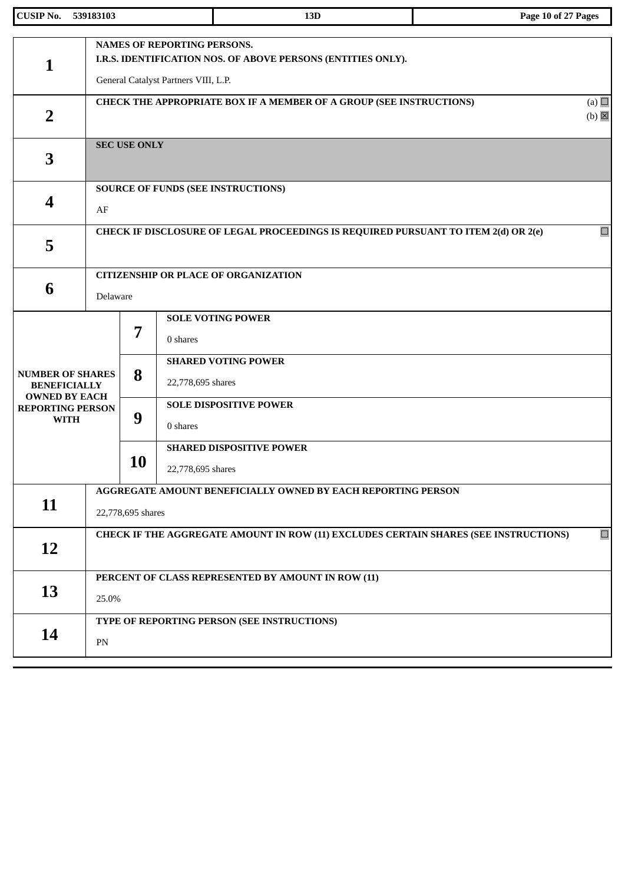| <b>CUSIP No.</b>                                               | 539183103 |                                                                                                                                            | 13D                                                                                | Page 10 of 27 Pages             |  |  |  |
|----------------------------------------------------------------|-----------|--------------------------------------------------------------------------------------------------------------------------------------------|------------------------------------------------------------------------------------|---------------------------------|--|--|--|
| 1                                                              |           | <b>NAMES OF REPORTING PERSONS.</b><br>I.R.S. IDENTIFICATION NOS. OF ABOVE PERSONS (ENTITIES ONLY).<br>General Catalyst Partners VIII, L.P. |                                                                                    |                                 |  |  |  |
| $\overline{2}$                                                 |           |                                                                                                                                            | CHECK THE APPROPRIATE BOX IF A MEMBER OF A GROUP (SEE INSTRUCTIONS)                | (a) $\Box$<br>$(b)$ $\boxtimes$ |  |  |  |
| 3                                                              |           | <b>SEC USE ONLY</b>                                                                                                                        |                                                                                    |                                 |  |  |  |
| 4                                                              | AF        |                                                                                                                                            | <b>SOURCE OF FUNDS (SEE INSTRUCTIONS)</b>                                          |                                 |  |  |  |
| 5                                                              |           |                                                                                                                                            | CHECK IF DISCLOSURE OF LEGAL PROCEEDINGS IS REQUIRED PURSUANT TO ITEM 2(d) OR 2(e) | $\Box$                          |  |  |  |
| 6                                                              | Delaware  |                                                                                                                                            | <b>CITIZENSHIP OR PLACE OF ORGANIZATION</b>                                        |                                 |  |  |  |
| <b>NUMBER OF SHARES</b><br><b>BENEFICIALLY</b>                 |           | <b>SOLE VOTING POWER</b><br>7<br>0 shares<br><b>SHARED VOTING POWER</b><br>8<br>22,778,695 shares                                          |                                                                                    |                                 |  |  |  |
| <b>OWNED BY EACH</b><br><b>REPORTING PERSON</b><br><b>WITH</b> |           | 9                                                                                                                                          | <b>SOLE DISPOSITIVE POWER</b><br>0 shares                                          |                                 |  |  |  |
|                                                                |           | 10                                                                                                                                         | <b>SHARED DISPOSITIVE POWER</b><br>22,778,695 shares                               |                                 |  |  |  |
| 11                                                             |           | AGGREGATE AMOUNT BENEFICIALLY OWNED BY EACH REPORTING PERSON<br>22,778,695 shares                                                          |                                                                                    |                                 |  |  |  |
| 12                                                             |           | $\Box$<br>CHECK IF THE AGGREGATE AMOUNT IN ROW (11) EXCLUDES CERTAIN SHARES (SEE INSTRUCTIONS)                                             |                                                                                    |                                 |  |  |  |
| 13                                                             |           | PERCENT OF CLASS REPRESENTED BY AMOUNT IN ROW (11)<br>25.0%                                                                                |                                                                                    |                                 |  |  |  |
| 14                                                             | PN        |                                                                                                                                            | TYPE OF REPORTING PERSON (SEE INSTRUCTIONS)                                        |                                 |  |  |  |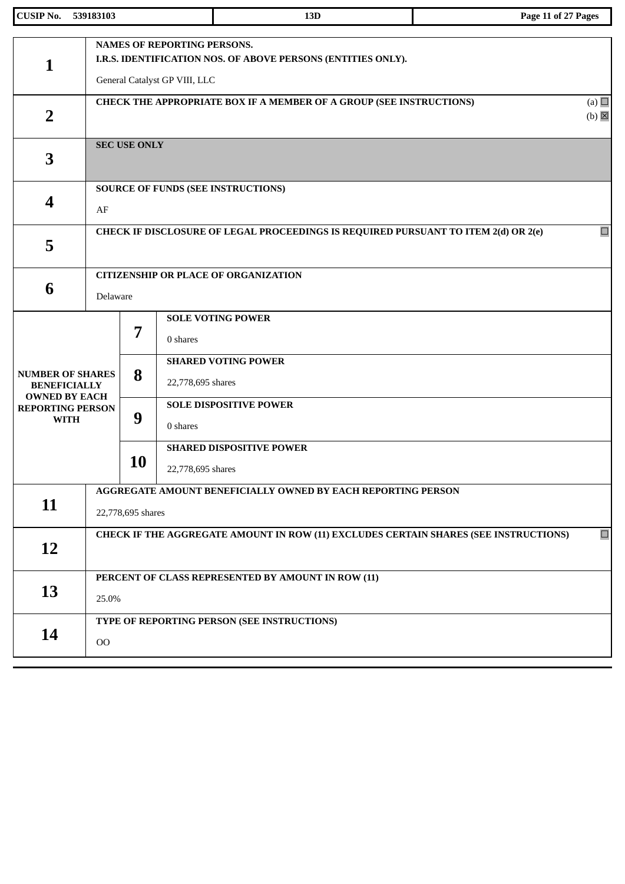| <b>CUSIP No.</b>                                                       | 539183103 |                                                                                                | 13D                                                                                                                                 | Page 11 of 27 Pages             |  |  |
|------------------------------------------------------------------------|-----------|------------------------------------------------------------------------------------------------|-------------------------------------------------------------------------------------------------------------------------------------|---------------------------------|--|--|
| 1                                                                      |           |                                                                                                | <b>NAMES OF REPORTING PERSONS.</b><br>I.R.S. IDENTIFICATION NOS. OF ABOVE PERSONS (ENTITIES ONLY).<br>General Catalyst GP VIII, LLC |                                 |  |  |
| $\overline{2}$                                                         |           |                                                                                                | CHECK THE APPROPRIATE BOX IF A MEMBER OF A GROUP (SEE INSTRUCTIONS)                                                                 | (a) $\Box$<br>$(b)$ $\boxtimes$ |  |  |
| 3                                                                      |           | <b>SEC USE ONLY</b>                                                                            |                                                                                                                                     |                                 |  |  |
| 4                                                                      | AF        |                                                                                                | <b>SOURCE OF FUNDS (SEE INSTRUCTIONS)</b>                                                                                           |                                 |  |  |
| 5                                                                      |           |                                                                                                | CHECK IF DISCLOSURE OF LEGAL PROCEEDINGS IS REQUIRED PURSUANT TO ITEM 2(d) OR 2(e)                                                  | $\Box$                          |  |  |
| 6                                                                      |           | <b>CITIZENSHIP OR PLACE OF ORGANIZATION</b><br>Delaware                                        |                                                                                                                                     |                                 |  |  |
|                                                                        |           | 7                                                                                              | <b>SOLE VOTING POWER</b><br>0 shares<br><b>SHARED VOTING POWER</b>                                                                  |                                 |  |  |
| <b>NUMBER OF SHARES</b><br><b>BENEFICIALLY</b><br><b>OWNED BY EACH</b> |           | 8                                                                                              | 22,778,695 shares                                                                                                                   |                                 |  |  |
| <b>REPORTING PERSON</b><br><b>WITH</b>                                 |           | 9                                                                                              | <b>SOLE DISPOSITIVE POWER</b><br>0 shares                                                                                           |                                 |  |  |
|                                                                        |           | 10                                                                                             | <b>SHARED DISPOSITIVE POWER</b><br>22,778,695 shares                                                                                |                                 |  |  |
| 11                                                                     |           | AGGREGATE AMOUNT BENEFICIALLY OWNED BY EACH REPORTING PERSON<br>22,778,695 shares              |                                                                                                                                     |                                 |  |  |
| 12                                                                     |           | $\Box$<br>CHECK IF THE AGGREGATE AMOUNT IN ROW (11) EXCLUDES CERTAIN SHARES (SEE INSTRUCTIONS) |                                                                                                                                     |                                 |  |  |
| 13                                                                     |           | PERCENT OF CLASS REPRESENTED BY AMOUNT IN ROW (11)<br>25.0%                                    |                                                                                                                                     |                                 |  |  |
| 14                                                                     | $00\,$    |                                                                                                | TYPE OF REPORTING PERSON (SEE INSTRUCTIONS)                                                                                         |                                 |  |  |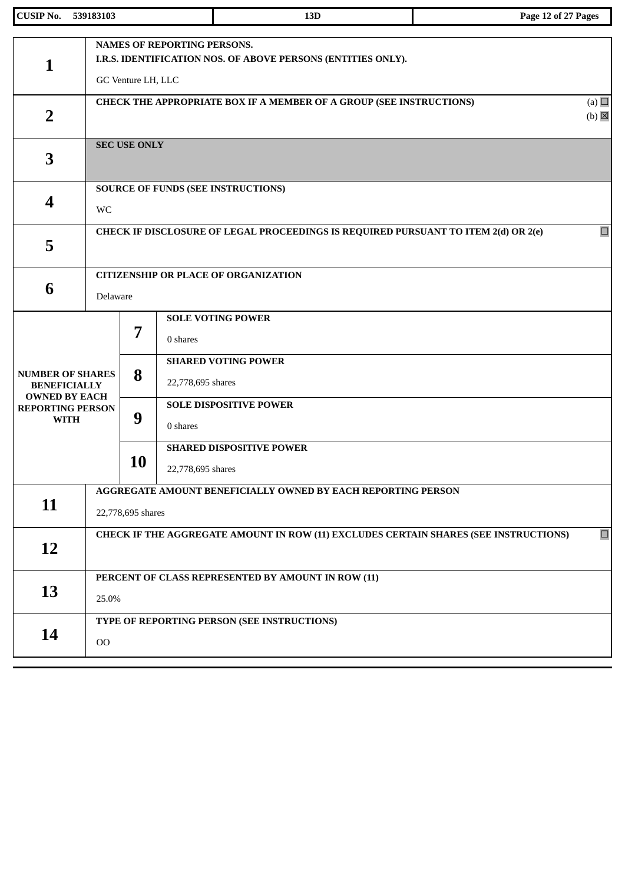| <b>CUSIP No.</b>                                                                      | 539183103 |                                                                                                                   | 13D                                                                                | Page 12 of 27 Pages             |  |  |  |
|---------------------------------------------------------------------------------------|-----------|-------------------------------------------------------------------------------------------------------------------|------------------------------------------------------------------------------------|---------------------------------|--|--|--|
| 1                                                                                     |           | NAMES OF REPORTING PERSONS.<br>I.R.S. IDENTIFICATION NOS. OF ABOVE PERSONS (ENTITIES ONLY).<br>GC Venture LH, LLC |                                                                                    |                                 |  |  |  |
| $\overline{2}$                                                                        |           |                                                                                                                   | CHECK THE APPROPRIATE BOX IF A MEMBER OF A GROUP (SEE INSTRUCTIONS)                | (a) $\Box$<br>$(b)$ $\boxtimes$ |  |  |  |
| 3                                                                                     |           | <b>SEC USE ONLY</b>                                                                                               |                                                                                    |                                 |  |  |  |
| 4                                                                                     | WC        |                                                                                                                   | <b>SOURCE OF FUNDS (SEE INSTRUCTIONS)</b>                                          |                                 |  |  |  |
| 5                                                                                     |           |                                                                                                                   | CHECK IF DISCLOSURE OF LEGAL PROCEEDINGS IS REQUIRED PURSUANT TO ITEM 2(d) OR 2(e) | $\Box$                          |  |  |  |
| 6                                                                                     | Delaware  |                                                                                                                   | <b>CITIZENSHIP OR PLACE OF ORGANIZATION</b>                                        |                                 |  |  |  |
| <b>NUMBER OF SHARES</b>                                                               |           | 7<br>8                                                                                                            | <b>SOLE VOTING POWER</b><br>0 shares<br><b>SHARED VOTING POWER</b>                 |                                 |  |  |  |
| <b>BENEFICIALLY</b><br><b>OWNED BY EACH</b><br><b>REPORTING PERSON</b><br><b>WITH</b> |           | 9                                                                                                                 | 22,778,695 shares<br><b>SOLE DISPOSITIVE POWER</b><br>0 shares                     |                                 |  |  |  |
|                                                                                       |           | 10                                                                                                                | <b>SHARED DISPOSITIVE POWER</b><br>22,778,695 shares                               |                                 |  |  |  |
| 11                                                                                    |           | AGGREGATE AMOUNT BENEFICIALLY OWNED BY EACH REPORTING PERSON<br>22,778,695 shares                                 |                                                                                    |                                 |  |  |  |
| 12                                                                                    |           | $\Box$<br>CHECK IF THE AGGREGATE AMOUNT IN ROW (11) EXCLUDES CERTAIN SHARES (SEE INSTRUCTIONS)                    |                                                                                    |                                 |  |  |  |
| 13                                                                                    |           | PERCENT OF CLASS REPRESENTED BY AMOUNT IN ROW (11)<br>25.0%                                                       |                                                                                    |                                 |  |  |  |
| 14                                                                                    | $00\,$    |                                                                                                                   | TYPE OF REPORTING PERSON (SEE INSTRUCTIONS)                                        |                                 |  |  |  |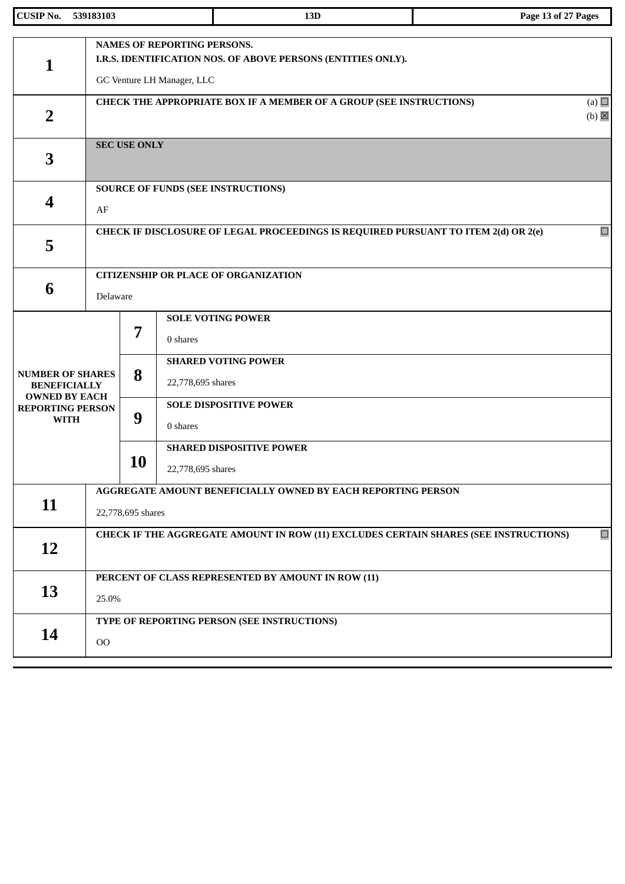| <b>CUSIP No.</b>                                               | 539183103 |                                                                                                        | 13D                                                                                                                              | Page 13 of 27 Pages |  |  |  |
|----------------------------------------------------------------|-----------|--------------------------------------------------------------------------------------------------------|----------------------------------------------------------------------------------------------------------------------------------|---------------------|--|--|--|
| 1                                                              |           |                                                                                                        | <b>NAMES OF REPORTING PERSONS.</b><br>I.R.S. IDENTIFICATION NOS. OF ABOVE PERSONS (ENTITIES ONLY).<br>GC Venture LH Manager, LLC |                     |  |  |  |
| $\overline{2}$                                                 |           | (a) $\Box$<br>CHECK THE APPROPRIATE BOX IF A MEMBER OF A GROUP (SEE INSTRUCTIONS)<br>$(b)$ $\boxtimes$ |                                                                                                                                  |                     |  |  |  |
| 3                                                              |           | <b>SEC USE ONLY</b>                                                                                    |                                                                                                                                  |                     |  |  |  |
| 4                                                              | AF        |                                                                                                        | <b>SOURCE OF FUNDS (SEE INSTRUCTIONS)</b>                                                                                        |                     |  |  |  |
| 5                                                              |           |                                                                                                        | CHECK IF DISCLOSURE OF LEGAL PROCEEDINGS IS REQUIRED PURSUANT TO ITEM 2(d) OR 2(e)                                               | $\Box$              |  |  |  |
| 6                                                              | Delaware  |                                                                                                        | <b>CITIZENSHIP OR PLACE OF ORGANIZATION</b>                                                                                      |                     |  |  |  |
| <b>NUMBER OF SHARES</b><br><b>BENEFICIALLY</b>                 |           | <b>SOLE VOTING POWER</b><br>7<br>0 shares<br><b>SHARED VOTING POWER</b><br>8<br>22,778,695 shares      |                                                                                                                                  |                     |  |  |  |
| <b>OWNED BY EACH</b><br><b>REPORTING PERSON</b><br><b>WITH</b> |           | 9                                                                                                      | <b>SOLE DISPOSITIVE POWER</b><br>0 shares                                                                                        |                     |  |  |  |
|                                                                |           | 10                                                                                                     | <b>SHARED DISPOSITIVE POWER</b><br>22,778,695 shares                                                                             |                     |  |  |  |
| 11                                                             |           | AGGREGATE AMOUNT BENEFICIALLY OWNED BY EACH REPORTING PERSON<br>22,778,695 shares                      |                                                                                                                                  |                     |  |  |  |
| 12                                                             |           | $\Box$<br>CHECK IF THE AGGREGATE AMOUNT IN ROW (11) EXCLUDES CERTAIN SHARES (SEE INSTRUCTIONS)         |                                                                                                                                  |                     |  |  |  |
| 13                                                             |           | PERCENT OF CLASS REPRESENTED BY AMOUNT IN ROW (11)<br>25.0%                                            |                                                                                                                                  |                     |  |  |  |
| 14                                                             | $00\,$    |                                                                                                        | TYPE OF REPORTING PERSON (SEE INSTRUCTIONS)                                                                                      |                     |  |  |  |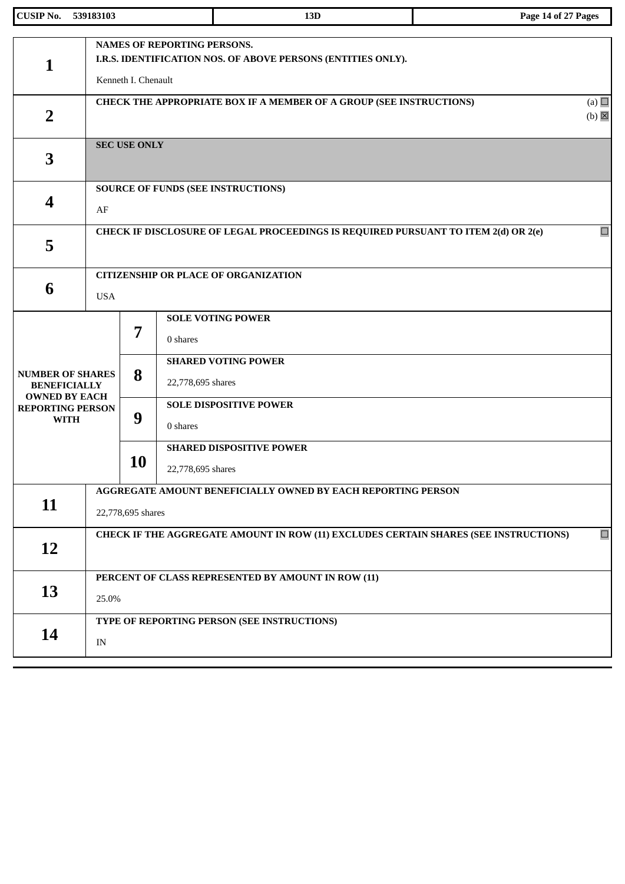| <b>CUSIP No.</b>                                                                      | 539183103  |                                                                                                   | 13D                                                                                                | Page 14 of 27 Pages             |  |
|---------------------------------------------------------------------------------------|------------|---------------------------------------------------------------------------------------------------|----------------------------------------------------------------------------------------------------|---------------------------------|--|
| 1                                                                                     |            | Kenneth I. Chenault                                                                               | <b>NAMES OF REPORTING PERSONS.</b><br>I.R.S. IDENTIFICATION NOS. OF ABOVE PERSONS (ENTITIES ONLY). |                                 |  |
| $\overline{2}$                                                                        |            |                                                                                                   | CHECK THE APPROPRIATE BOX IF A MEMBER OF A GROUP (SEE INSTRUCTIONS)                                | (a) $\Box$<br>$(b)$ $\boxtimes$ |  |
| 3                                                                                     |            | <b>SEC USE ONLY</b>                                                                               |                                                                                                    |                                 |  |
| 4                                                                                     | AF         |                                                                                                   | <b>SOURCE OF FUNDS (SEE INSTRUCTIONS)</b>                                                          |                                 |  |
| 5                                                                                     |            |                                                                                                   | CHECK IF DISCLOSURE OF LEGAL PROCEEDINGS IS REQUIRED PURSUANT TO ITEM 2(d) OR 2(e)                 | $\Box$                          |  |
| 6                                                                                     | <b>USA</b> | <b>CITIZENSHIP OR PLACE OF ORGANIZATION</b>                                                       |                                                                                                    |                                 |  |
| <b>NUMBER OF SHARES</b>                                                               |            | <b>SOLE VOTING POWER</b><br>7<br>0 shares<br><b>SHARED VOTING POWER</b><br>8<br>22,778,695 shares |                                                                                                    |                                 |  |
| <b>BENEFICIALLY</b><br><b>OWNED BY EACH</b><br><b>REPORTING PERSON</b><br><b>WITH</b> |            | 9                                                                                                 | <b>SOLE DISPOSITIVE POWER</b><br>0 shares                                                          |                                 |  |
|                                                                                       |            | 10                                                                                                | <b>SHARED DISPOSITIVE POWER</b><br>22,778,695 shares                                               |                                 |  |
| 11                                                                                    |            | AGGREGATE AMOUNT BENEFICIALLY OWNED BY EACH REPORTING PERSON<br>22,778,695 shares                 |                                                                                                    |                                 |  |
| 12                                                                                    |            | $\Box$<br>CHECK IF THE AGGREGATE AMOUNT IN ROW (11) EXCLUDES CERTAIN SHARES (SEE INSTRUCTIONS)    |                                                                                                    |                                 |  |
| 13                                                                                    | 25.0%      |                                                                                                   | PERCENT OF CLASS REPRESENTED BY AMOUNT IN ROW (11)                                                 |                                 |  |
| 14                                                                                    | IN         |                                                                                                   | TYPE OF REPORTING PERSON (SEE INSTRUCTIONS)                                                        |                                 |  |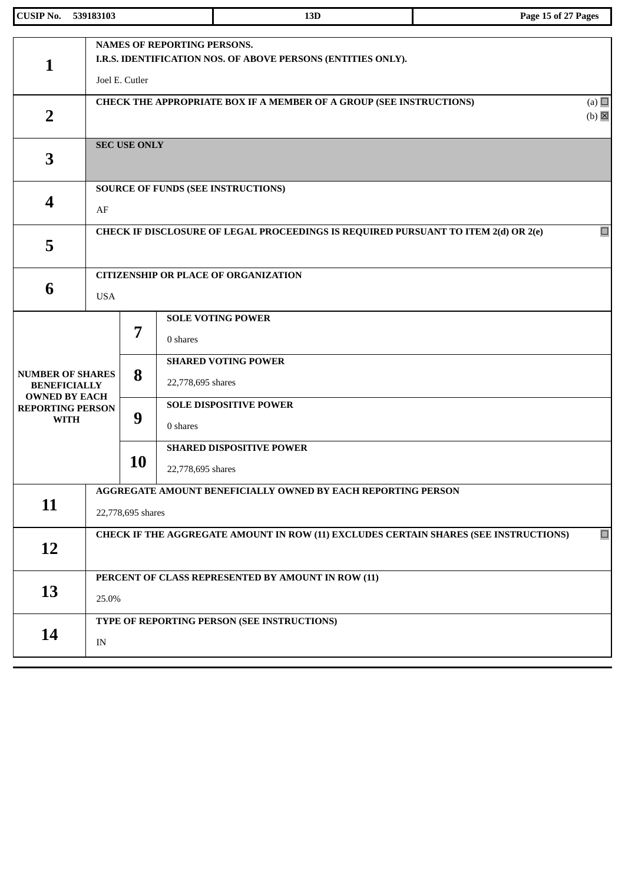| <b>CUSIP No.</b>                                                                      | 539183103  |                                                                                                | 13D                                                                                                | Page 15 of 27 Pages             |  |
|---------------------------------------------------------------------------------------|------------|------------------------------------------------------------------------------------------------|----------------------------------------------------------------------------------------------------|---------------------------------|--|
| 1                                                                                     |            | Joel E. Cutler                                                                                 | <b>NAMES OF REPORTING PERSONS.</b><br>I.R.S. IDENTIFICATION NOS. OF ABOVE PERSONS (ENTITIES ONLY). |                                 |  |
| $\overline{2}$                                                                        |            |                                                                                                | CHECK THE APPROPRIATE BOX IF A MEMBER OF A GROUP (SEE INSTRUCTIONS)                                | (a) $\Box$<br>$(b)$ $\boxtimes$ |  |
| 3                                                                                     |            | <b>SEC USE ONLY</b>                                                                            |                                                                                                    |                                 |  |
| 4                                                                                     | AF         |                                                                                                | <b>SOURCE OF FUNDS (SEE INSTRUCTIONS)</b>                                                          |                                 |  |
| 5                                                                                     |            |                                                                                                | CHECK IF DISCLOSURE OF LEGAL PROCEEDINGS IS REQUIRED PURSUANT TO ITEM 2(d) OR 2(e)                 | $\Box$                          |  |
| 6                                                                                     | <b>USA</b> | <b>CITIZENSHIP OR PLACE OF ORGANIZATION</b>                                                    |                                                                                                    |                                 |  |
| <b>NUMBER OF SHARES</b>                                                               |            | 7<br>8                                                                                         | <b>SOLE VOTING POWER</b><br>0 shares<br><b>SHARED VOTING POWER</b><br>22,778,695 shares            |                                 |  |
| <b>BENEFICIALLY</b><br><b>OWNED BY EACH</b><br><b>REPORTING PERSON</b><br><b>WITH</b> |            | 9                                                                                              | <b>SOLE DISPOSITIVE POWER</b><br>0 shares                                                          |                                 |  |
|                                                                                       |            | 10                                                                                             | <b>SHARED DISPOSITIVE POWER</b><br>22,778,695 shares                                               |                                 |  |
| 11                                                                                    |            | AGGREGATE AMOUNT BENEFICIALLY OWNED BY EACH REPORTING PERSON<br>22,778,695 shares              |                                                                                                    |                                 |  |
| 12                                                                                    |            | $\Box$<br>CHECK IF THE AGGREGATE AMOUNT IN ROW (11) EXCLUDES CERTAIN SHARES (SEE INSTRUCTIONS) |                                                                                                    |                                 |  |
| 13                                                                                    | 25.0%      |                                                                                                | PERCENT OF CLASS REPRESENTED BY AMOUNT IN ROW (11)                                                 |                                 |  |
| 14                                                                                    | IN         |                                                                                                | TYPE OF REPORTING PERSON (SEE INSTRUCTIONS)                                                        |                                 |  |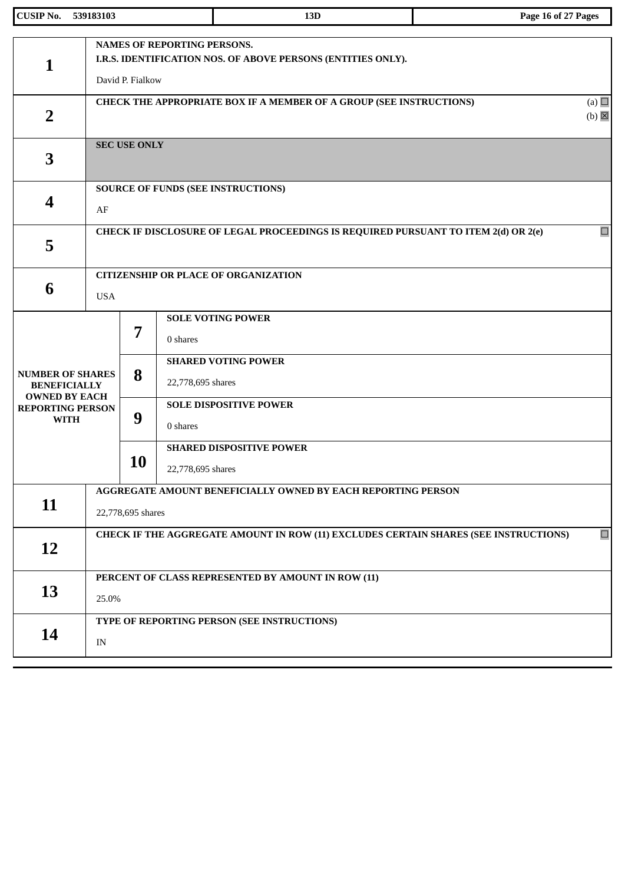| <b>CUSIP No.</b>                                               | 539183103                |                                                                                                                        | 13D                                                                                | Page 16 of 27 Pages             |  |  |
|----------------------------------------------------------------|--------------------------|------------------------------------------------------------------------------------------------------------------------|------------------------------------------------------------------------------------|---------------------------------|--|--|
| 1                                                              |                          | <b>NAMES OF REPORTING PERSONS.</b><br>I.R.S. IDENTIFICATION NOS. OF ABOVE PERSONS (ENTITIES ONLY).<br>David P. Fialkow |                                                                                    |                                 |  |  |
| $\overline{2}$                                                 |                          |                                                                                                                        | CHECK THE APPROPRIATE BOX IF A MEMBER OF A GROUP (SEE INSTRUCTIONS)                | (a) $\Box$<br>$(b)$ $\boxtimes$ |  |  |
| 3                                                              |                          | <b>SEC USE ONLY</b>                                                                                                    |                                                                                    |                                 |  |  |
| 4                                                              | AF                       |                                                                                                                        | <b>SOURCE OF FUNDS (SEE INSTRUCTIONS)</b>                                          |                                 |  |  |
| 5                                                              |                          |                                                                                                                        | CHECK IF DISCLOSURE OF LEGAL PROCEEDINGS IS REQUIRED PURSUANT TO ITEM 2(d) OR 2(e) | $\Box$                          |  |  |
| 6                                                              | <b>USA</b>               | <b>CITIZENSHIP OR PLACE OF ORGANIZATION</b>                                                                            |                                                                                    |                                 |  |  |
|                                                                |                          | 7                                                                                                                      | <b>SOLE VOTING POWER</b><br>0 shares                                               |                                 |  |  |
| <b>NUMBER OF SHARES</b><br><b>BENEFICIALLY</b>                 |                          | 8                                                                                                                      | <b>SHARED VOTING POWER</b><br>22,778,695 shares                                    |                                 |  |  |
| <b>OWNED BY EACH</b><br><b>REPORTING PERSON</b><br><b>WITH</b> |                          | 9                                                                                                                      | <b>SOLE DISPOSITIVE POWER</b><br>0 shares                                          |                                 |  |  |
|                                                                |                          | 10                                                                                                                     | <b>SHARED DISPOSITIVE POWER</b><br>22,778,695 shares                               |                                 |  |  |
| 11                                                             |                          | AGGREGATE AMOUNT BENEFICIALLY OWNED BY EACH REPORTING PERSON<br>22,778,695 shares                                      |                                                                                    |                                 |  |  |
| <b>12</b>                                                      |                          | $\Box$<br>CHECK IF THE AGGREGATE AMOUNT IN ROW (11) EXCLUDES CERTAIN SHARES (SEE INSTRUCTIONS)                         |                                                                                    |                                 |  |  |
| 13                                                             | 25.0%                    |                                                                                                                        | PERCENT OF CLASS REPRESENTED BY AMOUNT IN ROW (11)                                 |                                 |  |  |
| 14                                                             | $\ensuremath{\text{IN}}$ |                                                                                                                        | TYPE OF REPORTING PERSON (SEE INSTRUCTIONS)                                        |                                 |  |  |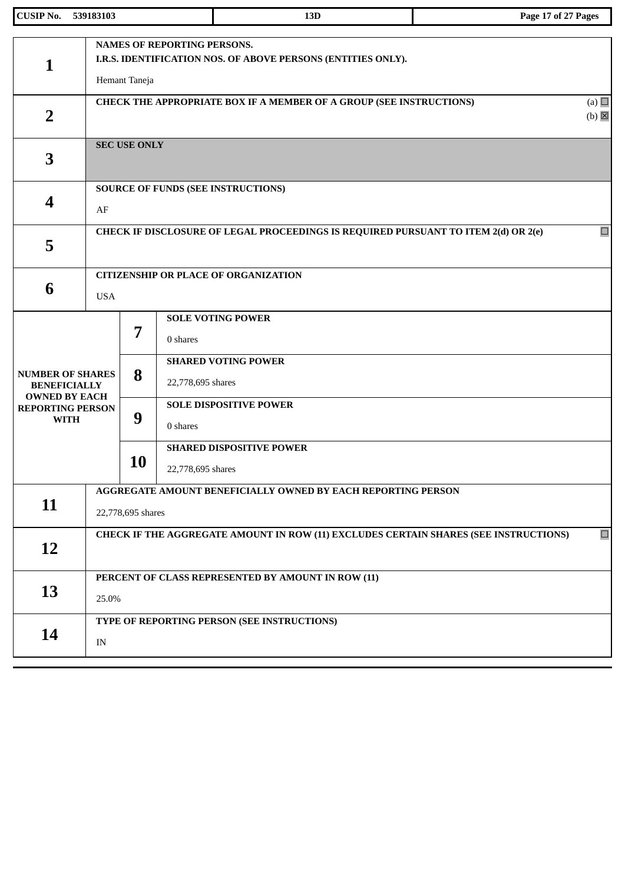| <b>CUSIP No.</b>                                                                                                 | 539183103  |                                                                                                                     |                               | 13D                                                                                | Page 17 of 27 Pages |  |
|------------------------------------------------------------------------------------------------------------------|------------|---------------------------------------------------------------------------------------------------------------------|-------------------------------|------------------------------------------------------------------------------------|---------------------|--|
| $\mathbf{1}$                                                                                                     |            | <b>NAMES OF REPORTING PERSONS.</b><br>I.R.S. IDENTIFICATION NOS. OF ABOVE PERSONS (ENTITIES ONLY).<br>Hemant Taneja |                               |                                                                                    |                     |  |
| $\overline{2}$                                                                                                   |            | (a) $\Box$<br>CHECK THE APPROPRIATE BOX IF A MEMBER OF A GROUP (SEE INSTRUCTIONS)<br>$(b)$ $\boxtimes$              |                               |                                                                                    |                     |  |
| 3                                                                                                                |            | <b>SEC USE ONLY</b>                                                                                                 |                               |                                                                                    |                     |  |
| 4                                                                                                                | AF         |                                                                                                                     |                               | <b>SOURCE OF FUNDS (SEE INSTRUCTIONS)</b>                                          |                     |  |
| 5                                                                                                                |            |                                                                                                                     |                               | CHECK IF DISCLOSURE OF LEGAL PROCEEDINGS IS REQUIRED PURSUANT TO ITEM 2(d) OR 2(e) | $\Box$              |  |
| 6                                                                                                                | <b>USA</b> | <b>CITIZENSHIP OR PLACE OF ORGANIZATION</b>                                                                         |                               |                                                                                    |                     |  |
|                                                                                                                  |            | 7                                                                                                                   | 0 shares                      | <b>SOLE VOTING POWER</b><br><b>SHARED VOTING POWER</b>                             |                     |  |
| <b>NUMBER OF SHARES</b><br><b>BENEFICIALLY</b><br><b>OWNED BY EACH</b><br><b>REPORTING PERSON</b><br><b>WITH</b> |            | 8<br>9                                                                                                              | 22,778,695 shares             | <b>SOLE DISPOSITIVE POWER</b>                                                      |                     |  |
|                                                                                                                  |            | <b>10</b>                                                                                                           | 0 shares<br>22,778,695 shares | <b>SHARED DISPOSITIVE POWER</b>                                                    |                     |  |
| 11                                                                                                               |            | AGGREGATE AMOUNT BENEFICIALLY OWNED BY EACH REPORTING PERSON<br>22,778,695 shares                                   |                               |                                                                                    |                     |  |
| 12                                                                                                               |            | $\Box$<br>CHECK IF THE AGGREGATE AMOUNT IN ROW (11) EXCLUDES CERTAIN SHARES (SEE INSTRUCTIONS)                      |                               |                                                                                    |                     |  |
| 13                                                                                                               | 25.0%      |                                                                                                                     |                               | PERCENT OF CLASS REPRESENTED BY AMOUNT IN ROW (11)                                 |                     |  |
| 14                                                                                                               | IN         |                                                                                                                     |                               | TYPE OF REPORTING PERSON (SEE INSTRUCTIONS)                                        |                     |  |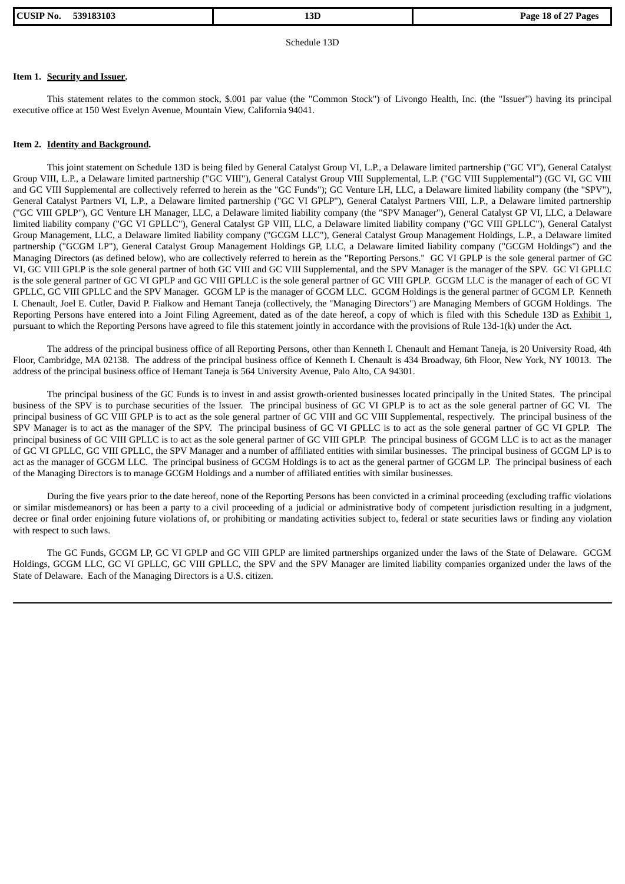| <b>CUSIP No.</b> | 539183103 |
|------------------|-----------|
|                  |           |

Schedule 13D

## **Item 1. Security and Issuer.**

This statement relates to the common stock, \$.001 par value (the "Common Stock") of Livongo Health, Inc. (the "Issuer") having its principal executive office at 150 West Evelyn Avenue, Mountain View, California 94041.

#### **Item 2. Identity and Background.**

This joint statement on Schedule 13D is being filed by General Catalyst Group VI, L.P., a Delaware limited partnership ("GC VI"), General Catalyst Group VIII, L.P., a Delaware limited partnership ("GC VIII"), General Catalyst Group VIII Supplemental, L.P. ("GC VIII Supplemental") (GC VI, GC VIII and GC VIII Supplemental are collectively referred to herein as the "GC Funds"); GC Venture LH, LLC, a Delaware limited liability company (the "SPV"), General Catalyst Partners VI, L.P., a Delaware limited partnership ("GC VI GPLP"), General Catalyst Partners VIII, L.P., a Delaware limited partnership ("GC VIII GPLP"), GC Venture LH Manager, LLC, a Delaware limited liability company (the "SPV Manager"), General Catalyst GP VI, LLC, a Delaware limited liability company ("GC VI GPLLC"), General Catalyst GP VIII, LLC, a Delaware limited liability company ("GC VIII GPLLC"), General Catalyst Group Management, LLC, a Delaware limited liability company ("GCGM LLC"), General Catalyst Group Management Holdings, L.P., a Delaware limited partnership ("GCGM LP"), General Catalyst Group Management Holdings GP, LLC, a Delaware limited liability company ("GCGM Holdings") and the Managing Directors (as defined below), who are collectively referred to herein as the "Reporting Persons." GC VI GPLP is the sole general partner of GC VI, GC VIII GPLP is the sole general partner of both GC VIII and GC VIII Supplemental, and the SPV Manager is the manager of the SPV. GC VI GPLLC is the sole general partner of GC VI GPLP and GC VIII GPLLC is the sole general partner of GC VIII GPLP. GCGM LLC is the manager of each of GC VI GPLLC, GC VIII GPLLC and the SPV Manager. GCGM LP is the manager of GCGM LLC. GCGM Holdings is the general partner of GCGM LP. Kenneth I. Chenault, Joel E. Cutler, David P. Fialkow and Hemant Taneja (collectively, the "Managing Directors") are Managing Members of GCGM Holdings. The Reporting Persons have entered into a Joint Filing Agreement, dated as of the date hereof, a copy of which is filed with this Schedule 13D as Exhibit 1, pursuant to which the Reporting Persons have agreed to file this statement jointly in accordance with the provisions of Rule 13d-1(k) under the Act.

The address of the principal business office of all Reporting Persons, other than Kenneth I. Chenault and Hemant Taneja, is 20 University Road, 4th Floor, Cambridge, MA 02138. The address of the principal business office of Kenneth I. Chenault is 434 Broadway, 6th Floor, New York, NY 10013. The address of the principal business office of Hemant Taneja is 564 University Avenue, Palo Alto, CA 94301.

The principal business of the GC Funds is to invest in and assist growth-oriented businesses located principally in the United States. The principal business of the SPV is to purchase securities of the Issuer. The principal business of GC VI GPLP is to act as the sole general partner of GC VI. The principal business of GC VIII GPLP is to act as the sole general partner of GC VIII and GC VIII Supplemental, respectively. The principal business of the SPV Manager is to act as the manager of the SPV. The principal business of GC VI GPLLC is to act as the sole general partner of GC VI GPLP. The principal business of GC VIII GPLLC is to act as the sole general partner of GC VIII GPLP. The principal business of GCGM LLC is to act as the manager of GC VI GPLLC, GC VIII GPLLC, the SPV Manager and a number of affiliated entities with similar businesses. The principal business of GCGM LP is to act as the manager of GCGM LLC. The principal business of GCGM Holdings is to act as the general partner of GCGM LP. The principal business of each of the Managing Directors is to manage GCGM Holdings and a number of affiliated entities with similar businesses.

During the five years prior to the date hereof, none of the Reporting Persons has been convicted in a criminal proceeding (excluding traffic violations or similar misdemeanors) or has been a party to a civil proceeding of a judicial or administrative body of competent jurisdiction resulting in a judgment, decree or final order enjoining future violations of, or prohibiting or mandating activities subject to, federal or state securities laws or finding any violation with respect to such laws.

The GC Funds, GCGM LP, GC VI GPLP and GC VIII GPLP are limited partnerships organized under the laws of the State of Delaware. GCGM Holdings, GCGM LLC, GC VI GPLLC, GC VIII GPLLC, the SPV and the SPV Manager are limited liability companies organized under the laws of the State of Delaware. Each of the Managing Directors is a U.S. citizen.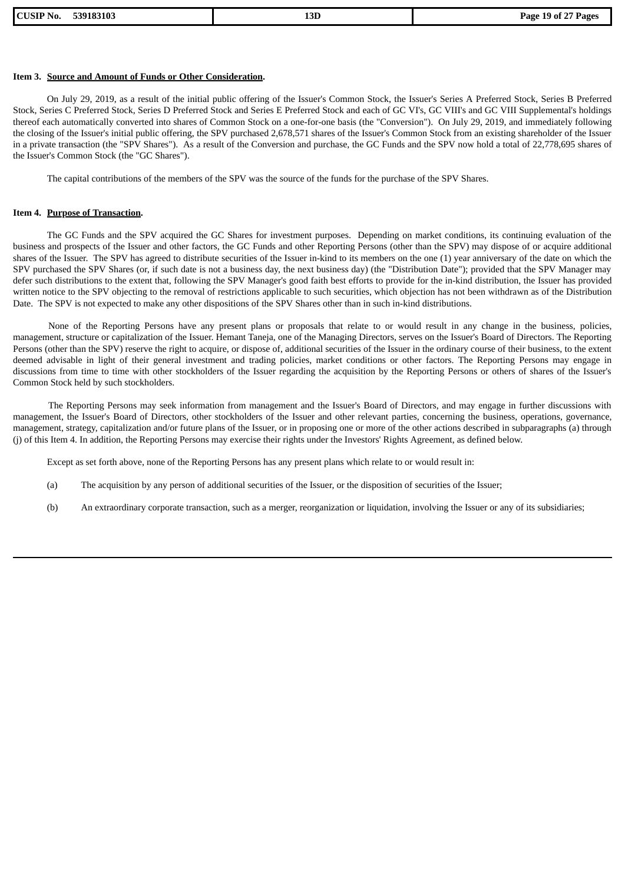| <b>CUSIP No.</b> | 539183103 |
|------------------|-----------|
|------------------|-----------|

## **Item 3. Source and Amount of Funds or Other Consideration.**

On July 29, 2019, as a result of the initial public offering of the Issuer's Common Stock, the Issuer's Series A Preferred Stock, Series B Preferred Stock, Series C Preferred Stock, Series D Preferred Stock and Series E Preferred Stock and each of GC VI's, GC VIII's and GC VIII Supplemental's holdings thereof each automatically converted into shares of Common Stock on a one-for-one basis (the "Conversion"). On July 29, 2019, and immediately following the closing of the Issuer's initial public offering, the SPV purchased 2,678,571 shares of the Issuer's Common Stock from an existing shareholder of the Issuer in a private transaction (the "SPV Shares"). As a result of the Conversion and purchase, the GC Funds and the SPV now hold a total of 22,778,695 shares of the Issuer's Common Stock (the "GC Shares").

The capital contributions of the members of the SPV was the source of the funds for the purchase of the SPV Shares.

## **Item 4. Purpose of Transaction.**

The GC Funds and the SPV acquired the GC Shares for investment purposes. Depending on market conditions, its continuing evaluation of the business and prospects of the Issuer and other factors, the GC Funds and other Reporting Persons (other than the SPV) may dispose of or acquire additional shares of the Issuer. The SPV has agreed to distribute securities of the Issuer in-kind to its members on the one (1) year anniversary of the date on which the SPV purchased the SPV Shares (or, if such date is not a business day, the next business day) (the "Distribution Date"); provided that the SPV Manager may defer such distributions to the extent that, following the SPV Manager's good faith best efforts to provide for the in-kind distribution, the Issuer has provided written notice to the SPV objecting to the removal of restrictions applicable to such securities, which objection has not been withdrawn as of the Distribution Date. The SPV is not expected to make any other dispositions of the SPV Shares other than in such in-kind distributions.

None of the Reporting Persons have any present plans or proposals that relate to or would result in any change in the business, policies, management, structure or capitalization of the Issuer. Hemant Taneja, one of the Managing Directors, serves on the Issuer's Board of Directors. The Reporting Persons (other than the SPV) reserve the right to acquire, or dispose of, additional securities of the Issuer in the ordinary course of their business, to the extent deemed advisable in light of their general investment and trading policies, market conditions or other factors. The Reporting Persons may engage in discussions from time to time with other stockholders of the Issuer regarding the acquisition by the Reporting Persons or others of shares of the Issuer's Common Stock held by such stockholders.

The Reporting Persons may seek information from management and the Issuer's Board of Directors, and may engage in further discussions with management, the Issuer's Board of Directors, other stockholders of the Issuer and other relevant parties, concerning the business, operations, governance, management, strategy, capitalization and/or future plans of the Issuer, or in proposing one or more of the other actions described in subparagraphs (a) through (j) of this Item 4. In addition, the Reporting Persons may exercise their rights under the Investors' Rights Agreement, as defined below.

Except as set forth above, none of the Reporting Persons has any present plans which relate to or would result in:

- (a) The acquisition by any person of additional securities of the Issuer, or the disposition of securities of the Issuer;
- (b) An extraordinary corporate transaction, such as a merger, reorganization or liquidation, involving the Issuer or any of its subsidiaries;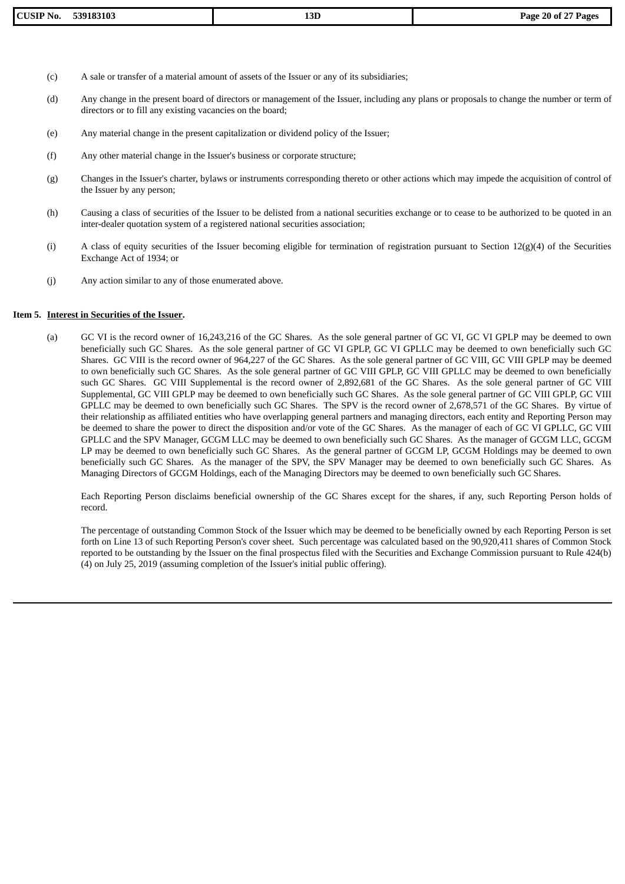- (c) A sale or transfer of a material amount of assets of the Issuer or any of its subsidiaries;
- (d) Any change in the present board of directors or management of the Issuer, including any plans or proposals to change the number or term of directors or to fill any existing vacancies on the board;
- (e) Any material change in the present capitalization or dividend policy of the Issuer;
- (f) Any other material change in the Issuer's business or corporate structure;
- (g) Changes in the Issuer's charter, bylaws or instruments corresponding thereto or other actions which may impede the acquisition of control of the Issuer by any person;
- (h) Causing a class of securities of the Issuer to be delisted from a national securities exchange or to cease to be authorized to be quoted in an inter-dealer quotation system of a registered national securities association;
- (i) A class of equity securities of the Issuer becoming eligible for termination of registration pursuant to Section  $12(g)(4)$  of the Securities Exchange Act of 1934; or
- (j) Any action similar to any of those enumerated above.

## **Item 5. Interest in Securities of the Issuer.**

(a) GC VI is the record owner of 16,243,216 of the GC Shares. As the sole general partner of GC VI, GC VI GPLP may be deemed to own beneficially such GC Shares. As the sole general partner of GC VI GPLP, GC VI GPLLC may be deemed to own beneficially such GC Shares. GC VIII is the record owner of 964,227 of the GC Shares. As the sole general partner of GC VIII, GC VIII GPLP may be deemed to own beneficially such GC Shares. As the sole general partner of GC VIII GPLP, GC VIII GPLLC may be deemed to own beneficially such GC Shares. GC VIII Supplemental is the record owner of 2,892,681 of the GC Shares. As the sole general partner of GC VIII Supplemental, GC VIII GPLP may be deemed to own beneficially such GC Shares. As the sole general partner of GC VIII GPLP, GC VIII GPLLC may be deemed to own beneficially such GC Shares. The SPV is the record owner of 2,678,571 of the GC Shares. By virtue of their relationship as affiliated entities who have overlapping general partners and managing directors, each entity and Reporting Person may be deemed to share the power to direct the disposition and/or vote of the GC Shares. As the manager of each of GC VI GPLLC, GC VIII GPLLC and the SPV Manager, GCGM LLC may be deemed to own beneficially such GC Shares. As the manager of GCGM LLC, GCGM LP may be deemed to own beneficially such GC Shares. As the general partner of GCGM LP, GCGM Holdings may be deemed to own beneficially such GC Shares. As the manager of the SPV, the SPV Manager may be deemed to own beneficially such GC Shares. As Managing Directors of GCGM Holdings, each of the Managing Directors may be deemed to own beneficially such GC Shares.

Each Reporting Person disclaims beneficial ownership of the GC Shares except for the shares, if any, such Reporting Person holds of record.

The percentage of outstanding Common Stock of the Issuer which may be deemed to be beneficially owned by each Reporting Person is set forth on Line 13 of such Reporting Person's cover sheet. Such percentage was calculated based on the 90,920,411 shares of Common Stock reported to be outstanding by the Issuer on the final prospectus filed with the Securities and Exchange Commission pursuant to Rule 424(b) (4) on July 25, 2019 (assuming completion of the Issuer's initial public offering).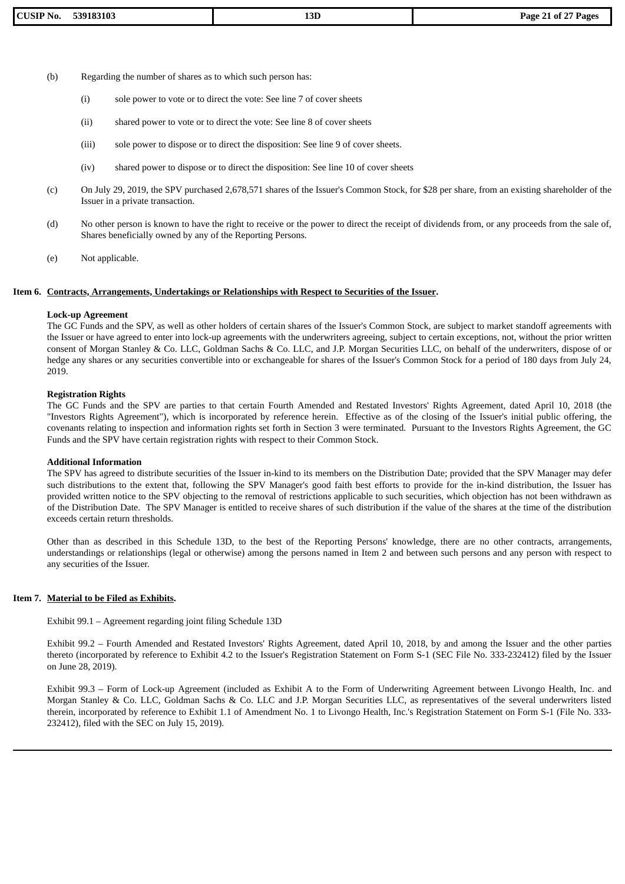- (b) Regarding the number of shares as to which such person has:
	- (i) sole power to vote or to direct the vote: See line 7 of cover sheets
	- (ii) shared power to vote or to direct the vote: See line 8 of cover sheets
	- (iii) sole power to dispose or to direct the disposition: See line 9 of cover sheets.
	- (iv) shared power to dispose or to direct the disposition: See line 10 of cover sheets
- (c) On July 29, 2019, the SPV purchased 2,678,571 shares of the Issuer's Common Stock, for \$28 per share, from an existing shareholder of the Issuer in a private transaction.
- (d) No other person is known to have the right to receive or the power to direct the receipt of dividends from, or any proceeds from the sale of, Shares beneficially owned by any of the Reporting Persons.
- (e) Not applicable.

## **Item 6. Contracts, Arrangements, Undertakings or Relationships with Respect to Securities of the Issuer.**

#### **Lock-up Agreement**

The GC Funds and the SPV, as well as other holders of certain shares of the Issuer's Common Stock, are subject to market standoff agreements with the Issuer or have agreed to enter into lock-up agreements with the underwriters agreeing, subject to certain exceptions, not, without the prior written consent of Morgan Stanley & Co. LLC, Goldman Sachs & Co. LLC, and J.P. Morgan Securities LLC, on behalf of the underwriters, dispose of or hedge any shares or any securities convertible into or exchangeable for shares of the Issuer's Common Stock for a period of 180 days from July 24, 2019.

#### **Registration Rights**

The GC Funds and the SPV are parties to that certain Fourth Amended and Restated Investors' Rights Agreement, dated April 10, 2018 (the "Investors Rights Agreement"), which is incorporated by reference herein. Effective as of the closing of the Issuer's initial public offering, the covenants relating to inspection and information rights set forth in Section 3 were terminated. Pursuant to the Investors Rights Agreement, the GC Funds and the SPV have certain registration rights with respect to their Common Stock.

#### **Additional Information**

The SPV has agreed to distribute securities of the Issuer in-kind to its members on the Distribution Date; provided that the SPV Manager may defer such distributions to the extent that, following the SPV Manager's good faith best efforts to provide for the in-kind distribution, the Issuer has provided written notice to the SPV objecting to the removal of restrictions applicable to such securities, which objection has not been withdrawn as of the Distribution Date. The SPV Manager is entitled to receive shares of such distribution if the value of the shares at the time of the distribution exceeds certain return thresholds.

Other than as described in this Schedule 13D, to the best of the Reporting Persons' knowledge, there are no other contracts, arrangements, understandings or relationships (legal or otherwise) among the persons named in Item 2 and between such persons and any person with respect to any securities of the Issuer.

#### **Item 7. Material to be Filed as Exhibits.**

Exhibit 99.1 – Agreement regarding joint filing Schedule 13D

Exhibit 99.2 – Fourth Amended and Restated Investors' Rights Agreement, dated April 10, 2018, by and among the Issuer and the other parties thereto (incorporated by reference to Exhibit 4.2 to the Issuer's Registration Statement on Form S-1 (SEC File No. 333-232412) filed by the Issuer on June 28, 2019).

Exhibit 99.3 – Form of Lock-up Agreement (included as Exhibit A to the Form of Underwriting Agreement between Livongo Health, Inc. and Morgan Stanley & Co. LLC, Goldman Sachs & Co. LLC and J.P. Morgan Securities LLC, as representatives of the several underwriters listed therein, incorporated by reference to Exhibit 1.1 of Amendment No. 1 to Livongo Health, Inc.'s Registration Statement on Form S-1 (File No. 333- 232412), filed with the SEC on July 15, 2019).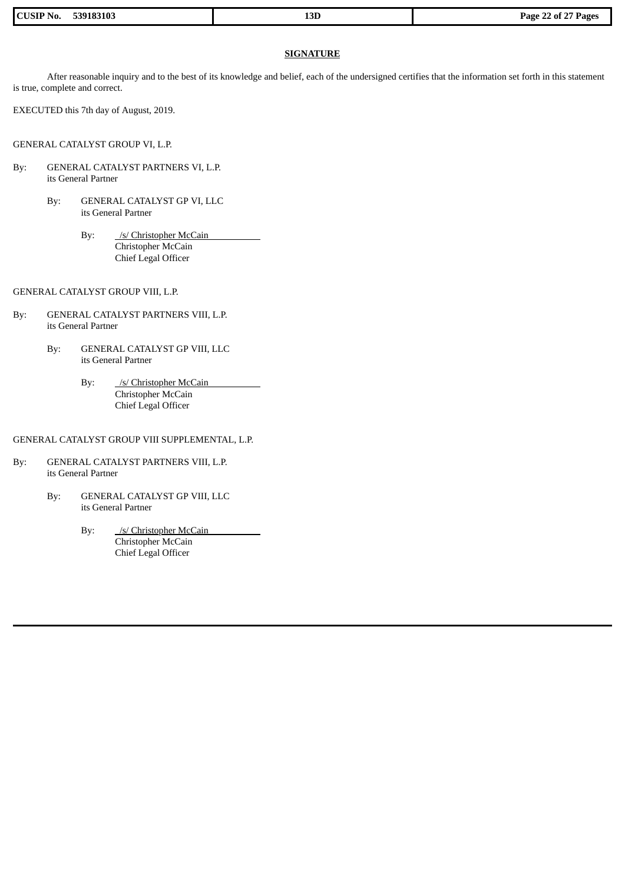| <b>CUSIP No.</b><br>539183103 | 13D | Page 22 of 27 Pages |
|-------------------------------|-----|---------------------|
|                               |     |                     |

## **SIGNATURE**

After reasonable inquiry and to the best of its knowledge and belief, each of the undersigned certifies that the information set forth in this statement is true, complete and correct.

EXECUTED this 7th day of August, 2019.

GENERAL CATALYST GROUP VI, L.P.

- By: GENERAL CATALYST PARTNERS VI, L.P. its General Partner
	- By: GENERAL CATALYST GP VI, LLC its General Partner
		- By: /s/ Christopher McCain Christopher McCain Chief Legal Officer

GENERAL CATALYST GROUP VIII, L.P.

- By: GENERAL CATALYST PARTNERS VIII, L.P. its General Partner
	- By: GENERAL CATALYST GP VIII, LLC its General Partner
		- By: /s/ Christopher McCain Christopher McCain Chief Legal Officer

## GENERAL CATALYST GROUP VIII SUPPLEMENTAL, L.P.

- By: GENERAL CATALYST PARTNERS VIII, L.P. its General Partner
	- By: GENERAL CATALYST GP VIII, LLC its General Partner
		- By: /s/ Christopher McCain Christopher McCain Chief Legal Officer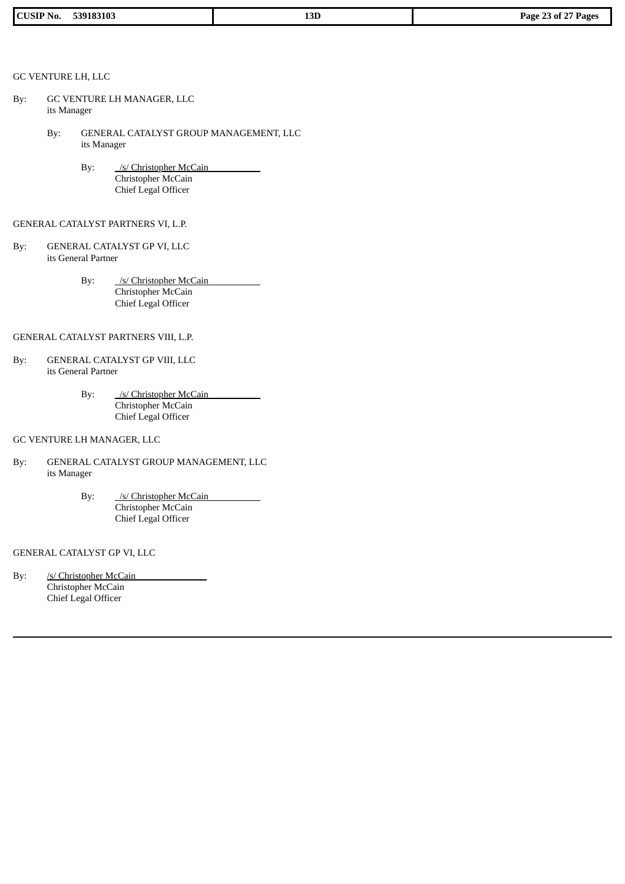| 539183103<br><b>CUSII</b><br>N0. | D <sub>T</sub><br>15D.<br>___ | $\mathbf{a}$<br>$\sim$ $\sim$ $\sim$<br>Page<br>-23 of<br>Pages |
|----------------------------------|-------------------------------|-----------------------------------------------------------------|

## GC VENTURE LH, LLC

- By: GC VENTURE LH MANAGER, LLC its Manager
	- By: GENERAL CATALYST GROUP MANAGEMENT, LLC its Manager
		- By: /s/ Christopher McCain Christopher McCain Chief Legal Officer

## GENERAL CATALYST PARTNERS VI, L.P.

- By: GENERAL CATALYST GP VI, LLC its General Partner
	- By: /s/ Christopher McCain Christopher McCain Chief Legal Officer

# GENERAL CATALYST PARTNERS VIII, L.P.

- By: GENERAL CATALYST GP VIII, LLC its General Partner
	- By: /s/ Christopher McCain Christopher McCain Chief Legal Officer

## GC VENTURE LH MANAGER, LLC

- By: GENERAL CATALYST GROUP MANAGEMENT, LLC its Manager
	- By: /s/ Christopher McCain Christopher McCain Chief Legal Officer

## GENERAL CATALYST GP VI, LLC

By: /s/ Christopher McCain Christopher McCain Chief Legal Officer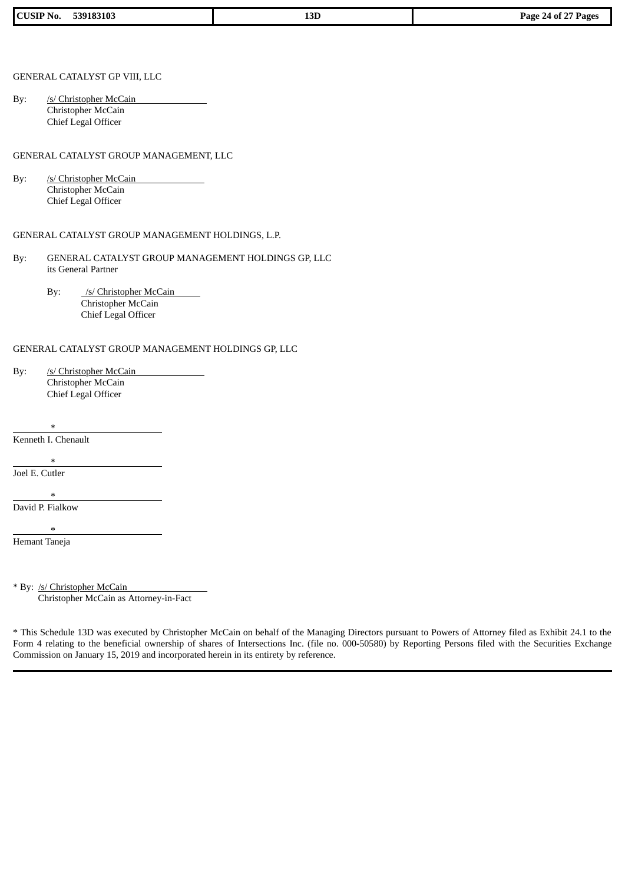| <b>CUSIP No.</b><br>539183103<br>13D<br>$-24$ of $-$<br><b>Page</b> $\epsilon$ |  |  | <sup>or</sup> Pages |
|--------------------------------------------------------------------------------|--|--|---------------------|
|--------------------------------------------------------------------------------|--|--|---------------------|

## GENERAL CATALYST GP VIII, LLC

By: /s/ Christopher McCain Christopher McCain Chief Legal Officer

#### GENERAL CATALYST GROUP MANAGEMENT, LLC

By: /s/ Christopher McCain Christopher McCain Chief Legal Officer

## GENERAL CATALYST GROUP MANAGEMENT HOLDINGS, L.P.

- By: GENERAL CATALYST GROUP MANAGEMENT HOLDINGS GP, LLC its General Partner
	- By: /s/ Christopher McCain Christopher McCain Chief Legal Officer

## GENERAL CATALYST GROUP MANAGEMENT HOLDINGS GP, LLC

| By: | /s/ Christopher McCain |
|-----|------------------------|
|     | Christopher McCain     |
|     | Chief Legal Officer    |

\* Kenneth I. Chenault

\* Joel E. Cutler

 $\mathbf{r}$ 

David P. Fialkow

\*

Hemant Taneja

\* By: /s/ Christopher McCain Christopher McCain as Attorney-in-Fact

\* This Schedule 13D was executed by Christopher McCain on behalf of the Managing Directors pursuant to Powers of Attorney filed as Exhibit 24.1 to the Form 4 relating to the beneficial ownership of shares of Intersections Inc. (file no. 000-50580) by Reporting Persons filed with the Securities Exchange Commission on January 15, 2019 and incorporated herein in its entirety by reference.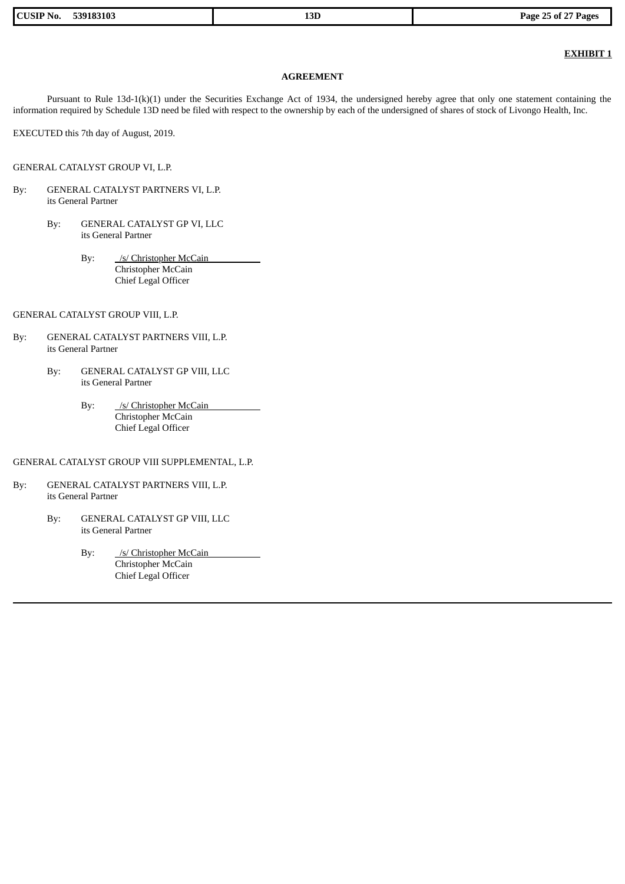| 539183103<br><b>CUSIP No.</b> | חכי<br>LJU. | Page 25 of 27 Pages |
|-------------------------------|-------------|---------------------|
|                               |             |                     |

# **EXHIBIT 1**

## **AGREEMENT**

Pursuant to Rule 13d-1(k)(1) under the Securities Exchange Act of 1934, the undersigned hereby agree that only one statement containing the information required by Schedule 13D need be filed with respect to the ownership by each of the undersigned of shares of stock of Livongo Health, Inc.

EXECUTED this 7th day of August, 2019.

GENERAL CATALYST GROUP VI, L.P.

- By: GENERAL CATALYST PARTNERS VI, L.P. its General Partner
	- By: GENERAL CATALYST GP VI, LLC its General Partner
		- By: /s/ Christopher McCain Christopher McCain Chief Legal Officer

GENERAL CATALYST GROUP VIII, L.P.

- By: GENERAL CATALYST PARTNERS VIII, L.P. its General Partner
	- By: GENERAL CATALYST GP VIII, LLC its General Partner
		- By: /s/ Christopher McCain Christopher McCain Chief Legal Officer

GENERAL CATALYST GROUP VIII SUPPLEMENTAL, L.P.

- By: GENERAL CATALYST PARTNERS VIII, L.P. its General Partner
	- By: GENERAL CATALYST GP VIII, LLC its General Partner
		- By: /s/ Christopher McCain Christopher McCain Chief Legal Officer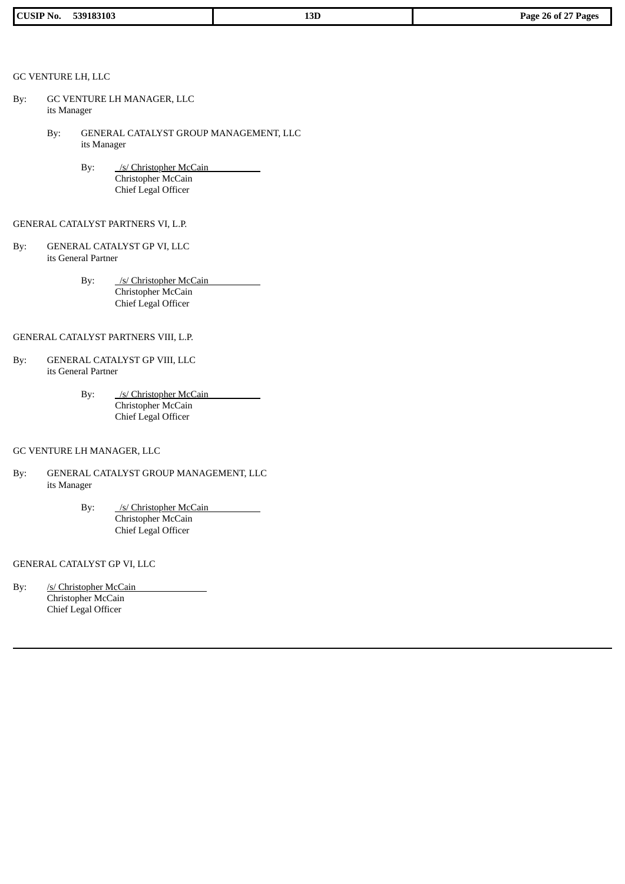| 539183103<br>$CLISIP^{\ast}$<br>No. | $\sim$<br>LOL<br>____ | $\sim$ $\sim$ $\sim$<br>n c<br>Page<br>$-26$ of 2,<br>Page: |
|-------------------------------------|-----------------------|-------------------------------------------------------------|

# GC VENTURE LH, LLC

- By: GC VENTURE LH MANAGER, LLC its Manager
	- By: GENERAL CATALYST GROUP MANAGEMENT, LLC its Manager
		- By: /s/ Christopher McCain Christopher McCain Chief Legal Officer

## GENERAL CATALYST PARTNERS VI, L.P.

- By: GENERAL CATALYST GP VI, LLC its General Partner
	- By: /s/ Christopher McCain Christopher McCain Chief Legal Officer

# GENERAL CATALYST PARTNERS VIII, L.P.

- By: GENERAL CATALYST GP VIII, LLC its General Partner
	- By: /s/ Christopher McCain Christopher McCain Chief Legal Officer

## GC VENTURE LH MANAGER, LLC

- By: GENERAL CATALYST GROUP MANAGEMENT, LLC its Manager
	- By: /s/ Christopher McCain Christopher McCain Chief Legal Officer

## GENERAL CATALYST GP VI, LLC

By: /s/ Christopher McCain Christopher McCain Chief Legal Officer